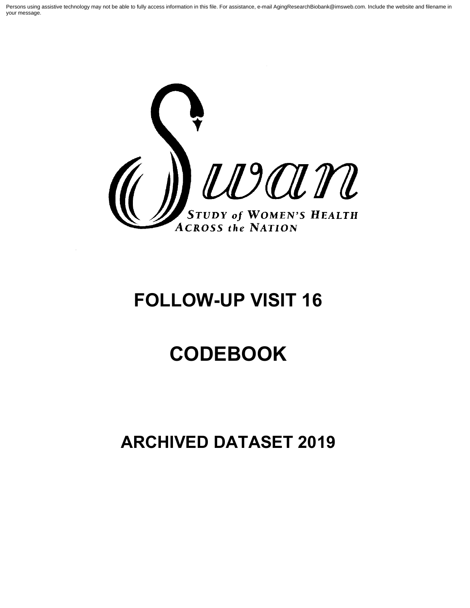Persons using assistive technology may not be able to fully access information in this file. For assistance, e-mail AgingResearchBiobank@imsweb.com. Include the website and filename in your message.



# **FOLLOW-UP VISIT 16**

# **CODEBOOK**

**ARCHIVED DATASET 2019**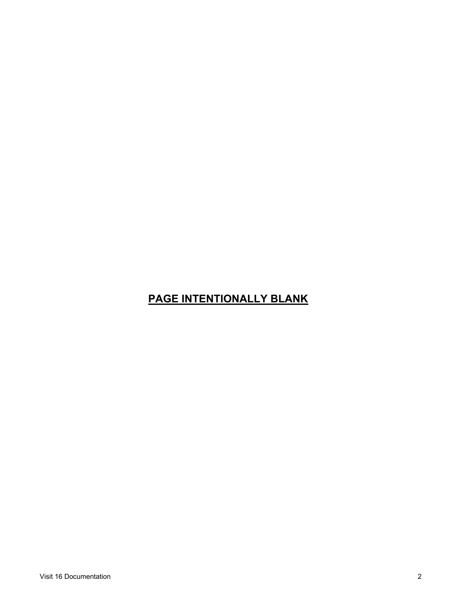## **PAGE INTENTIONALLY BLANK**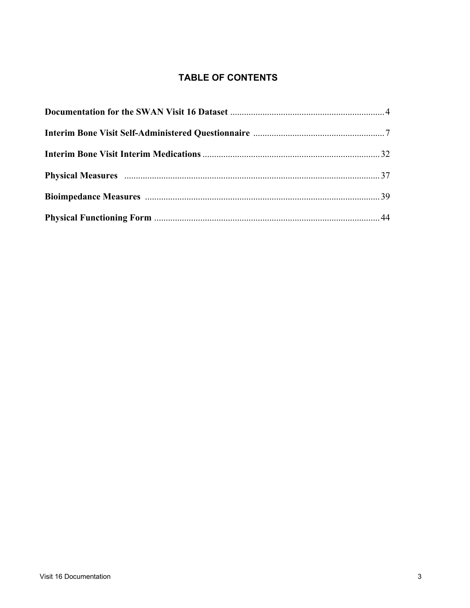### **TABLE OF CONTENTS**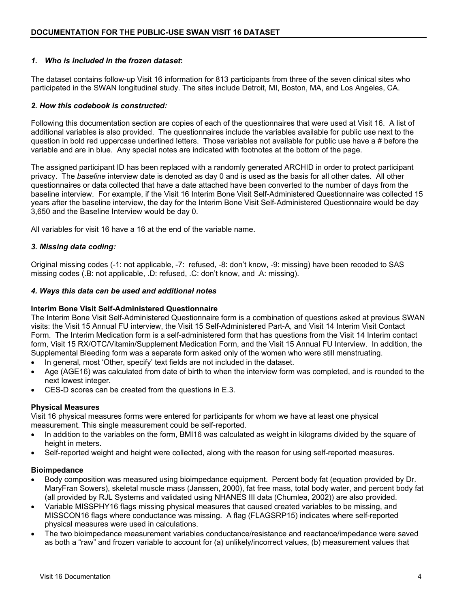#### *1. Who is included in the frozen dataset***:**

The dataset contains follow-up Visit 16 information for 813 participants from three of the seven clinical sites who participated in the SWAN longitudinal study. The sites include Detroit, MI, Boston, MA, and Los Angeles, CA.

#### *2. How this codebook is constructed:*

Following this documentation section are copies of each of the questionnaires that were used at Visit 16. A list of additional variables is also provided. The questionnaires include the variables available for public use next to the question in bold red uppercase underlined letters. Those variables not available for public use have a # before the variable and are in blue. Any special notes are indicated with footnotes at the bottom of the page.

The assigned participant ID has been replaced with a randomly generated ARCHID in order to protect participant privacy. The *baseline* interview date is denoted as day 0 and is used as the basis for all other dates. All other questionnaires or data collected that have a date attached have been converted to the number of days from the baseline interview. For example, if the Visit 16 Interim Bone Visit Self-Administered Questionnaire was collected 15 years after the baseline interview, the day for the Interim Bone Visit Self-Administered Questionnaire would be day 3,650 and the Baseline Interview would be day 0.

All variables for visit 16 have a 16 at the end of the variable name.

#### *3. Missing data coding:*

Original missing codes (-1: not applicable, -7: refused, -8: don't know, -9: missing) have been recoded to SAS missing codes (.B: not applicable, .D: refused, .C: don't know, and .A: missing).

#### *4. Ways this data can be used and additional notes*

#### **Interim Bone Visit Self-Administered Questionnaire**

The Interim Bone Visit Self-Administered Questionnaire form is a combination of questions asked at previous SWAN visits: the Visit 15 Annual FU interview, the Visit 15 Self-Administered Part-A, and Visit 14 Interim Visit Contact Form. The Interim Medication form is a self-administered form that has questions from the Visit 14 Interim contact form, Visit 15 RX/OTC/Vitamin/Supplement Medication Form, and the Visit 15 Annual FU Interview. In addition, the Supplemental Bleeding form was a separate form asked only of the women who were still menstruating.

- In general, most 'Other, specify' text fields are not included in the dataset.
- Age (AGE16) was calculated from date of birth to when the interview form was completed, and is rounded to the next lowest integer.
- CES-D scores can be created from the questions in E.3.

#### **Physical Measures**

Visit 16 physical measures forms were entered for participants for whom we have at least one physical measurement. This single measurement could be self-reported.

- In addition to the variables on the form, BMI16 was calculated as weight in kilograms divided by the square of height in meters.
- Self-reported weight and height were collected, along with the reason for using self-reported measures.

#### **Bioimpedance**

- Body composition was measured using bioimpedance equipment. Percent body fat (equation provided by Dr. MaryFran Sowers), skeletal muscle mass (Janssen, 2000), fat free mass, total body water, and percent body fat (all provided by RJL Systems and validated using NHANES III data (Chumlea, 2002)) are also provided.
- Variable MISSPHY16 flags missing physical measures that caused created variables to be missing, and MISSCON16 flags where conductance was missing. A flag (FLAGSRP15) indicates where self-reported physical measures were used in calculations.
- The two bioimpedance measurement variables conductance/resistance and reactance/impedance were saved as both a "raw" and frozen variable to account for (a) unlikely/incorrect values, (b) measurement values that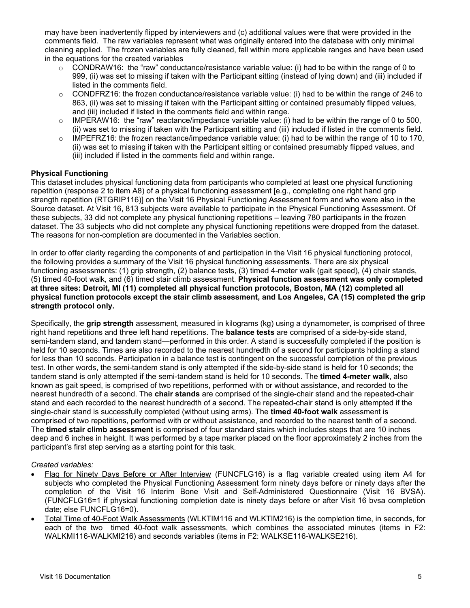may have been inadvertently flipped by interviewers and (c) additional values were that were provided in the comments field. The raw variables represent what was originally entered into the database with only minimal cleaning applied. The frozen variables are fully cleaned, fall within more applicable ranges and have been used in the equations for the created variables

- $\circ$  CONDRAW16: the "raw" conductance/resistance variable value: (i) had to be within the range of 0 to 999, (ii) was set to missing if taken with the Participant sitting (instead of lying down) and (iii) included if listed in the comments field.
- $\circ$  CONDFRZ16: the frozen conductance/resistance variable value: (i) had to be within the range of 246 to 863, (ii) was set to missing if taken with the Participant sitting or contained presumably flipped values, and (iii) included if listed in the comments field and within range.
- o IMPERAW16: the "raw" reactance/impedance variable value: (i) had to be within the range of 0 to 500, (ii) was set to missing if taken with the Participant sitting and (iii) included if listed in the comments field.
- $\circ$  IMPEFRZ16: the frozen reactance/impedance variable value: (i) had to be within the range of 10 to 170, (ii) was set to missing if taken with the Participant sitting or contained presumably flipped values, and (iii) included if listed in the comments field and within range.

#### **Physical Functioning**

This dataset includes physical functioning data from participants who completed at least one physical functioning repetition (response 2 to item A8) of a physical functioning assessment [e.g., completing one right hand grip strength repetition (RTGRIP116)] on the Visit 16 Physical Functioning Assessment form and who were also in the Source dataset. At Visit 16, 813 subjects were available to participate in the Physical Functioning Assessment. Of these subjects, 33 did not complete any physical functioning repetitions – leaving 780 participants in the frozen dataset. The 33 subjects who did not complete any physical functioning repetitions were dropped from the dataset. The reasons for non-completion are documented in the Variables section.

In order to offer clarity regarding the components of and participation in the Visit 16 physical functioning protocol, the following provides a summary of the Visit 16 physical functioning assessments. There are six physical functioning assessments: (1) grip strength, (2) balance tests, (3) timed 4-meter walk (gait speed), (4) chair stands, (5) timed 40-foot walk, and (6) timed stair climb assessment. **Physical function assessment was only completed at three sites: Detroit, MI (11) completed all physical function protocols, Boston, MA (12) completed all physical function protocols except the stair climb assessment, and Los Angeles, CA (15) completed the grip strength protocol only.**

Specifically, the **grip strength** assessment, measured in kilograms (kg) using a dynamometer, is comprised of three right hand repetitions and three left hand repetitions. The **balance tests** are comprised of a side-by-side stand, semi-tandem stand, and tandem stand—performed in this order. A stand is successfully completed if the position is held for 10 seconds. Times are also recorded to the nearest hundredth of a second for participants holding a stand for less than 10 seconds. Participation in a balance test is contingent on the successful completion of the previous test. In other words, the semi-tandem stand is only attempted if the side-by-side stand is held for 10 seconds; the tandem stand is only attempted if the semi-tandem stand is held for 10 seconds. The **timed 4-meter walk**, also known as gait speed, is comprised of two repetitions, performed with or without assistance, and recorded to the nearest hundredth of a second. The **chair stands** are comprised of the single-chair stand and the repeated-chair stand and each recorded to the nearest hundredth of a second. The repeated-chair stand is only attempted if the single-chair stand is successfully completed (without using arms). The **timed 40-foot walk** assessment is comprised of two repetitions, performed with or without assistance, and recorded to the nearest tenth of a second. The **timed stair climb assessment** is comprised of four standard stairs which includes steps that are 10 inches deep and 6 inches in height. It was performed by a tape marker placed on the floor approximately 2 inches from the participant's first step serving as a starting point for this task.

*Created variables:* 

- Flag for Ninety Days Before or After Interview (FUNCFLG16) is a flag variable created using item A4 for subjects who completed the Physical Functioning Assessment form ninety days before or ninety days after the completion of the Visit 16 Interim Bone Visit and Self-Administered Questionnaire (Visit 16 BVSA). (FUNCFLG16=1 if physical functioning completion date is ninety days before or after Visit 16 bvsa completion date; else FUNCFLG16=0).
- Total Time of 40-Foot Walk Assessments (WLKTIM116 and WLKTIM216) is the completion time, in seconds, for each of the two timed 40-foot walk assessments, which combines the associated minutes (items in F2: WALKMI116-WALKMI216) and seconds variables (items in F2: WALKSE116-WALKSE216).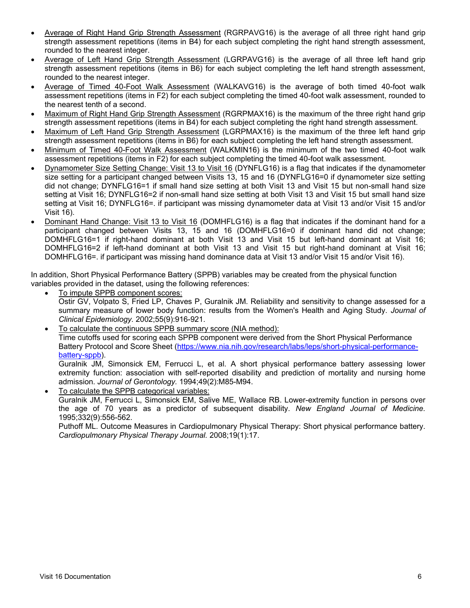- Average of Right Hand Grip Strength Assessment (RGRPAVG16) is the average of all three right hand grip strength assessment repetitions (items in B4) for each subject completing the right hand strength assessment, rounded to the nearest integer.
- Average of Left Hand Grip Strength Assessment (LGRPAVG16) is the average of all three left hand grip strength assessment repetitions (items in B6) for each subject completing the left hand strength assessment, rounded to the nearest integer.
- Average of Timed 40-Foot Walk Assessment (WALKAVG16) is the average of both timed 40-foot walk assessment repetitions (items in F2) for each subject completing the timed 40-foot walk assessment, rounded to the nearest tenth of a second.
- Maximum of Right Hand Grip Strength Assessment (RGRPMAX16) is the maximum of the three right hand grip strength assessment repetitions (items in B4) for each subject completing the right hand strength assessment.
- Maximum of Left Hand Grip Strength Assessment (LGRPMAX16) is the maximum of the three left hand grip strength assessment repetitions (items in B6) for each subject completing the left hand strength assessment.
- Minimum of Timed 40-Foot Walk Assessment (WALKMIN16) is the minimum of the two timed 40-foot walk assessment repetitions (items in F2) for each subject completing the timed 40-foot walk assessment.
- Dynamometer Size Setting Change: Visit 13 to Visit 16 (DYNFLG16) is a flag that indicates if the dynamometer size setting for a participant changed between Visits 13, 15 and 16 (DYNFLG16=0 if dynamometer size setting did not change; DYNFLG16=1 if small hand size setting at both Visit 13 and Visit 15 but non-small hand size setting at Visit 16; DYNFLG16=2 if non-small hand size setting at both Visit 13 and Visit 15 but small hand size setting at Visit 16; DYNFLG16=. if participant was missing dynamometer data at Visit 13 and/or Visit 15 and/or Visit 16).
- Dominant Hand Change: Visit 13 to Visit 16 (DOMHFLG16) is a flag that indicates if the dominant hand for a participant changed between Visits 13, 15 and 16 (DOMHFLG16=0 if dominant hand did not change; DOMHFLG16=1 if right-hand dominant at both Visit 13 and Visit 15 but left-hand dominant at Visit 16; DOMHFLG16=2 if left-hand dominant at both Visit 13 and Visit 15 but right-hand dominant at Visit 16; DOMHFLG16=. if participant was missing hand dominance data at Visit 13 and/or Visit 15 and/or Visit 16).

In addition, Short Physical Performance Battery (SPPB) variables may be created from the physical function variables provided in the dataset, using the following references:

- To impute SPPB component scores: Ostir GV, Volpato S, Fried LP, Chaves P, Guralnik JM. Reliability and sensitivity to change assessed for a summary measure of lower body function: results from the Women's Health and Aging Study. *Journal of Clinical Epidemiology.* 2002;55(9):916-921.
- To calculate the continuous SPPB summary score (NIA method): Time cutoffs used for scoring each SPPB component were derived from the Short Physical Performance Battery Protocol and Score Sheet [\(https://www.nia.nih.gov/research/labs/leps/short-physical-performance](https://www.nia.nih.gov/research/labs/leps/short-physical-performance-battery-sppb)[battery-sppb\)](https://www.nia.nih.gov/research/labs/leps/short-physical-performance-battery-sppb).

Guralnik JM, Simonsick EM, Ferrucci L, et al. A short physical performance battery assessing lower extremity function: association with self-reported disability and prediction of mortality and nursing home admission. *Journal of Gerontology.* 1994;49(2):M85-M94.

• To calculate the SPPB categorical variables: Guralnik JM, Ferrucci L, Simonsick EM, Salive ME, Wallace RB. Lower-extremity function in persons over the age of 70 years as a predictor of subsequent disability. *New England Journal of Medicine.*  1995;332(9):556-562.

Puthoff ML. Outcome Measures in Cardiopulmonary Physical Therapy: Short physical performance battery. *Cardiopulmonary Physical Therapy Journal.* 2008;19(1):17.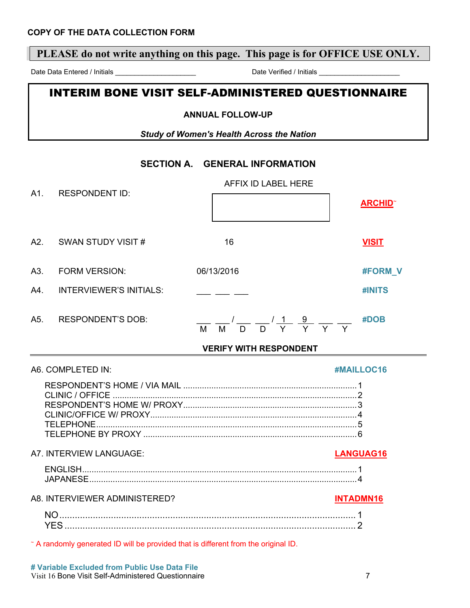### **PLEASE do not write anything on this page. This page is for OFFICE USE ONLY.**

Date Data Entered / Initials \_\_\_\_\_\_\_\_\_\_\_\_\_\_\_\_\_\_\_\_\_ Date Verified / Initials \_\_\_\_\_\_\_\_\_\_\_\_\_\_\_\_\_\_\_\_\_

## INTERIM BONE VISIT SELF-ADMINISTERED QUESTIONNAIRE

### **ANNUAL FOLLOW-UP**

*Study of Women's Health Across the Nation*

### **SECTION A. GENERAL INFORMATION**

|     | <b>RESPONDENT ID:</b>          | AFFIX ID LABEL HERE |                                                                                                   |  |  |  |  |                           |
|-----|--------------------------------|---------------------|---------------------------------------------------------------------------------------------------|--|--|--|--|---------------------------|
| A1. |                                |                     |                                                                                                   |  |  |  |  | <b>ARCHID<sup>®</sup></b> |
| A2. | SWAN STUDY VISIT #             |                     | 16                                                                                                |  |  |  |  | <b>VISIT</b>              |
| A3. | <b>FORM VERSION:</b>           |                     | 06/13/2016                                                                                        |  |  |  |  | #FORM_V                   |
| A4. | <b>INTERVIEWER'S INITIALS:</b> |                     |                                                                                                   |  |  |  |  | #INITS                    |
| A5. | <b>RESPONDENT'S DOB:</b>       |                     | $\frac{1}{M} \frac{1}{M} \frac{1}{D} \frac{1}{D} \frac{1}{Y} \frac{9}{Y} \frac{9}{Y} \frac{1}{Y}$ |  |  |  |  | #DOB                      |
|     | <b>VERIFY WITH RESPONDENT</b>  |                     |                                                                                                   |  |  |  |  |                           |
|     | A6. COMPLETED IN:              |                     |                                                                                                   |  |  |  |  | #MAILLOC16                |
|     |                                |                     |                                                                                                   |  |  |  |  |                           |
|     |                                |                     |                                                                                                   |  |  |  |  |                           |
|     |                                |                     |                                                                                                   |  |  |  |  |                           |
|     |                                |                     |                                                                                                   |  |  |  |  |                           |
|     | A7. INTERVIEW LANGUAGE:        |                     |                                                                                                   |  |  |  |  | <b>LANGUAG16</b>          |
|     |                                |                     |                                                                                                   |  |  |  |  |                           |
|     | A8. INTERVIEWER ADMINISTERED?  |                     |                                                                                                   |  |  |  |  | <b>INTADMN16</b>          |
|     |                                |                     |                                                                                                   |  |  |  |  |                           |

<sup>~</sup> A randomly generated ID will be provided that is different from the original ID.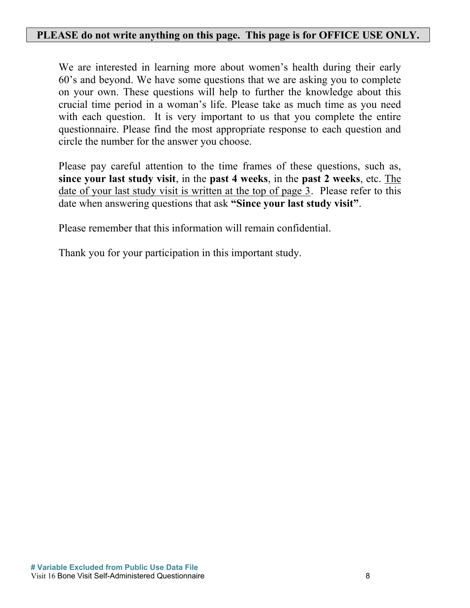### **PLEASE do not write anything on this page. This page is for OFFICE USE ONLY.**

We are interested in learning more about women's health during their early 60's and beyond. We have some questions that we are asking you to complete on your own. These questions will help to further the knowledge about this crucial time period in a woman's life. Please take as much time as you need with each question. It is very important to us that you complete the entire questionnaire. Please find the most appropriate response to each question and circle the number for the answer you choose.

Please pay careful attention to the time frames of these questions, such as, **since your last study visit**, in the **past 4 weeks**, in the **past 2 weeks**, etc. The date of your last study visit is written at the top of page 3. Please refer to this date when answering questions that ask **"Since your last study visit"**.

Please remember that this information will remain confidential.

Thank you for your participation in this important study.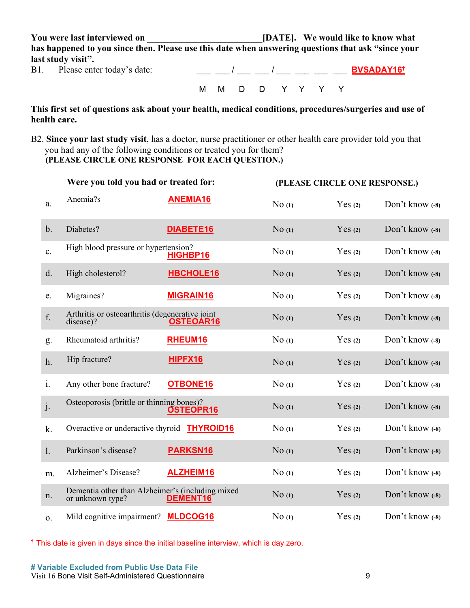**You were last interviewed on \_\_\_\_\_\_\_\_\_\_\_\_\_\_\_\_\_\_\_\_\_\_\_\_\_[DATE]. We would like to know what**  has happened to you since then. Please use this date when answering questions that ask "since your **has happened** to you since then. Please use this date when answering questions that ask "since your **last study visit".** B1. Please enter today's date: \_\_\_ \_\_\_ / \_\_\_ \_\_\_ / \_\_\_ \_\_\_ \_\_\_ \_\_\_ **BVSADAY16†**

M M D D Y Y Y Y

#### **This first set of questions ask about your health, medical conditions, procedures/surgeries and use of health care.**

B2. **Since your last study visit**, has a doctor, nurse practitioner or other health care provider told you that you had any of the following conditions or treated you for them? **(PLEASE CIRCLE ONE RESPONSE FOR EACH QUESTION.)**

|                | Were you told you had or treated for:                                |                  | (PLEASE CIRCLE ONE RESPONSE.) |           |                   |  |
|----------------|----------------------------------------------------------------------|------------------|-------------------------------|-----------|-------------------|--|
| a.             | Anemia?s                                                             | <b>ANEMIA16</b>  | No(1)                         | Yes $(2)$ | Don't know (-8)   |  |
| $b$ .          | Diabetes?                                                            | <b>DIABETE16</b> | No(1)                         | Yes(2)    | Don't know (-8)   |  |
| c.             | High blood pressure or hypertension?                                 | HIGHBP16         | No(1)                         | Yes $(2)$ | Don't know (-8)   |  |
| d.             | High cholesterol?                                                    | <b>HBCHOLE16</b> | No(1)                         | Yes $(2)$ | Don't know $(-8)$ |  |
| e.             | Migraines?                                                           | <b>MIGRAIN16</b> | No(1)                         | Yes $(2)$ | Don't know $(-8)$ |  |
| f.             | Arthritis or osteoarthritis (degenerative joint<br>disease)?         | <b>OSTEOAR16</b> | No(1)                         | Yes $(2)$ | Don't know (-8)   |  |
| g.             | Rheumatoid arthritis?                                                | RHEUM16          | No(1)                         | Yes $(2)$ | Don't know (-8)   |  |
| h.             | Hip fracture?                                                        | HIPFX16          | No(1)                         | Yes $(2)$ | Don't know (-8)   |  |
| $\mathbf{1}$ . | Any other bone fracture?                                             | OTBONE16         | No(1)                         | Yes $(2)$ | Don't know (-8)   |  |
| j.             | Osteoporosis (brittle or thinning bones)?                            | OSTEOPR16        | No(1)                         | Yes $(2)$ | Don't know (-8)   |  |
| k.             | Overactive or underactive thyroid <b>THYROID16</b>                   |                  | No(1)                         | Yes $(2)$ | Don't know (-8)   |  |
| 1.             | Parkinson's disease?                                                 | <b>PARKSN16</b>  | No(1)                         | Yes $(2)$ | Don't know (-8)   |  |
| m.             | Alzheimer's Disease?                                                 | <b>ALZHEIM16</b> | No(1)                         | Yes(2)    | Don't know $(-8)$ |  |
| n.             | Dementia other than Alzheimer's (including mixed<br>or unknown type? | <b>DEMENT16</b>  | No(1)                         | Yes $(2)$ | Don't know (-8)   |  |
| 0.             | Mild cognitive impairment?                                           | <b>MLDCOG16</b>  | $No$ (1)                      | Yes $(2)$ | Don't know $(-8)$ |  |

**†** This date is given in days since the initial baseline interview, which is day zero.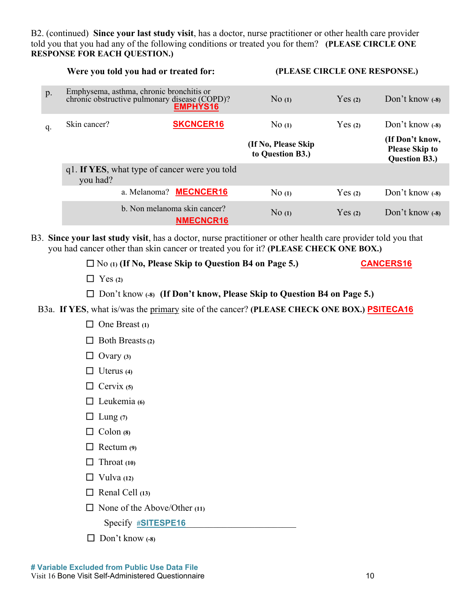B2. (continued) **Since your last study visit**, has a doctor, nurse practitioner or other health care provider told you that you had any of the following conditions or treated you for them? **(PLEASE CIRCLE ONE RESPONSE FOR EACH QUESTION.)**

|    | Were you told you had or treated for:                                                     | (PLEASE CIRCLE ONE RESPONSE.)                    |                                          |           |                                                                  |
|----|-------------------------------------------------------------------------------------------|--------------------------------------------------|------------------------------------------|-----------|------------------------------------------------------------------|
| p. | Emphysema, asthma, chronic bronchitis or<br>chronic obstructive pulmonary disease (COPD)? | <b>EMPHYS16</b>                                  | No(1)                                    | Yes $(2)$ | Don't know $(-8)$                                                |
| q. | Skin cancer?                                                                              | <b>SKCNCER16</b>                                 | No(1)                                    | Yes(2)    | Don't know $(-8)$                                                |
|    |                                                                                           |                                                  | (If No, Please Skip)<br>to Question B3.) |           | (If Don't know,<br><b>Please Skip to</b><br><b>Question B3.)</b> |
|    | q1. If YES, what type of cancer were you told<br>you had?                                 |                                                  |                                          |           |                                                                  |
|    | a. Melanoma?                                                                              | <b>MECNCER16</b>                                 | No(1)                                    | Yes $(2)$ | Don't know $(-8)$                                                |
|    |                                                                                           | b. Non melanoma skin cancer?<br><b>NMECNCR16</b> | No(1)                                    | Yes $(2)$ | Don't know $(-8)$                                                |

B3. **Since your last study visit**, has a doctor, nurse practitioner or other health care provider told you that you had cancer other than skin cancer or treated you for it? **(PLEASE CHECK ONE BOX.)**

| $\Box$ No (1) (If No, Please Skip to Question B4 on Page 5.) | <b>CANCERS16</b> |
|--------------------------------------------------------------|------------------|
|--------------------------------------------------------------|------------------|

- $\Box$  Yes (2)
- Don't know **(-8) (If Don't know, Please Skip to Question B4 on Page 5.)**
- B3a. **If YES**, what is/was the primary site of the cancer? **(PLEASE CHECK ONE BOX.) PSITECA16** 
	- One Breast **(1)**
	- □ Both Breasts (2)
	- $\Box$  Ovary (3)
	- $\Box$  Uterus (4)
	- $\Box$  Cervix  $(5)$
	- Leukemia **(6)**
	- $\Box$  Lung (7)
	- $\Box$  Colon  $(8)$
	- $\Box$  Rectum  $(9)$
	- $\Box$  Throat  $(10)$
	- $\Box$  Vulva (12)
	- $\Box$  Renal Cell  $(13)$
	- None of the Above/Other **(11)**
		- Specify **#SITESPE16**
	- $\Box$  Don't know  $(-8)$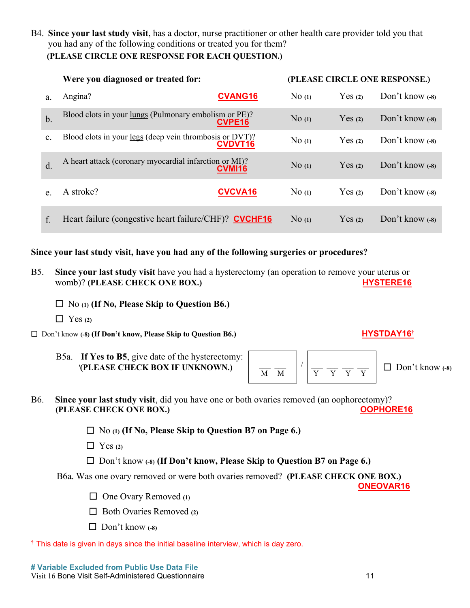B4. **Since your last study visit**, has a doctor, nurse practitioner or other health care provider told you that you had any of the following conditions or treated you for them? **(PLEASE CIRCLE ONE RESPONSE FOR EACH QUESTION.)**

|                | Were you diagnosed or treated for:                             |                | (PLEASE CIRCLE ONE RESPONSE.) |        |                   |  |
|----------------|----------------------------------------------------------------|----------------|-------------------------------|--------|-------------------|--|
| a.             | Angina?                                                        | <b>CVANG16</b> | No(1)                         | Yes(2) | Don't know $(-8)$ |  |
| $\mathbf b$ .  | Blood clots in your <u>lungs</u> (Pulmonary embolism or PE)?   | CVPE16         | No(1)                         | Yes(2) | Don't know (-8)   |  |
| $\mathbf{c}$ . | Blood clots in your <u>legs</u> (deep vein thrombosis or DVT)? | <b>CVDVT16</b> | No(1)                         | Yes(2) | Don't know $(-8)$ |  |
| d.             | A heart attack (coronary myocardial infarction or MI)?         | <b>CVMI16</b>  | No(1)                         | Yes(2) | Don't know $(-8)$ |  |
| e.             | A stroke?                                                      | <b>CVCVA16</b> | No(1)                         | Yes(2) | Don't know $(-8)$ |  |
| f.             | Heart failure (congestive heart failure/CHF)? CVCHF16          |                | No(1)                         | Yes(2) | Don't know $(-8)$ |  |

#### **Since your last study visit, have you had any of the following surgeries or procedures?**

- B5. **Since your last study visit** have you had a hysterectomy (an operation to remove your uterus or womb)? **(PLEASE CHECK ONE BOX.) HYSTERE16** 
	- No **(1) (If No, Please Skip to Question B6.)**
	- $\Box$  Yes  $(2)$

Don't know **(-8) (If Don't know, Please Skip to Question B6.) HYSTDAY16†**

B5a.**If If Yes to B5**, give date of the hysterectomy: **THE THE CHECK BOX IF UNKNOWN.)**  $\frac{1}{M}$ 

M M /  $\overline{\phantom{a}}$   $\overline{\phantom{a}}$   $\overline{\phantom{a}}$   $\overline{\phantom{a}}$   $\overline{\phantom{a}}$   $\overline{\phantom{a}}$   $\overline{\phantom{a}}$   $\overline{\phantom{a}}$   $\overline{\phantom{a}}$   $\overline{\phantom{a}}$   $\overline{\phantom{a}}$   $\overline{\phantom{a}}$   $\overline{\phantom{a}}$   $\overline{\phantom{a}}$   $\overline{\phantom{a}}$   $\overline{\phantom{a}}$   $\overline{\phantom{a}}$   $\overline{\phantom{a}}$   $\over$ Y Y Y Y

 $\Box$  Don't know  $(-8)$ 

- B6. **Since your last study visit**, did you have one or both ovaries removed (an oophorectomy)? **(PLEASE CHECK ONE BOX.) OOPHORE16**
	- No **(1) (If No, Please Skip to Question B7 on Page 6.)**

 $\Box$  Yes (2)

Don't know **(-8) (If Don't know, Please Skip to Question B7 on Page 6.)**

B6a. Was one ovary removed or were both ovaries removed? **(PLEASE CHECK ONE BOX.)**

 **ONEOVAR16**

- □ One Ovary Removed (1)
- □ Both Ovaries Removed <sup>(2)</sup>
- $\Box$  Don't know  $(-8)$

**†** This date is given in days since the initial baseline interview, which is day zero.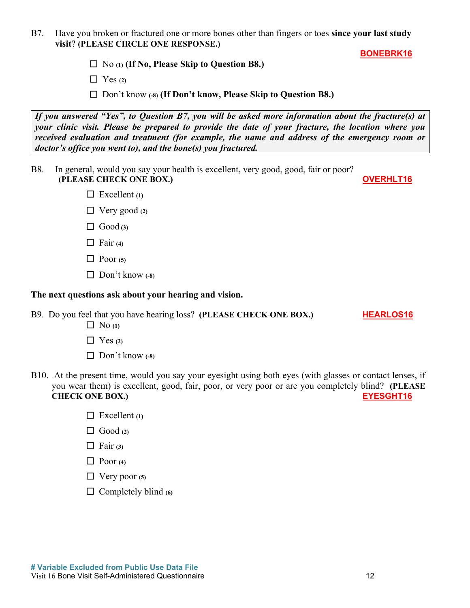B7. Have you broken or fractured one or more bones other than fingers or toes **since your last study visit**? **(PLEASE CIRCLE ONE RESPONSE.)** 

**BONEBRK16**

No **(1) (If No, Please Skip to Question B8.)**

 $\Box$  Yes  $(2)$ 

Don't know **(-8) (If Don't know, Please Skip to Question B8.)**

*If you answered "Yes", to Question B7, you will be asked more information about the fracture(s) at your clinic visit. Please be prepared to provide the date of your fracture, the location where you received evaluation and treatment (for example, the name and address of the emergency room or doctor's office you went to), and the bone(s) you fractured.* 

B8. In general, would you say your health is excellent, very good, good, fair or poor? **(PLEASE CHECK ONE BOX.) OVERHLT16**

- $\Box$  Excellent  $(1)$
- $\Box$  Very good  $(2)$
- $\Box$  Good (3)
- $\Box$  Fair (4)
- $\Box$  Poor  $(5)$
- $\Box$  Don't know  $(-8)$

#### **The next questions ask about your hearing and vision.**

- B9. Do you feel that you have hearing loss? **(PLEASE CHECK ONE BOX.) HEARLOS16** 
	- $\Box$  No  $(1)$
	- $\Box$  Yes  $(2)$
	- $\Box$  Don't know  $(-8)$
- B10. At the present time, would you say your eyesight using both eyes (with glasses or contact lenses, if you wear them) is excellent, good, fair, poor, or very poor or are you completely blind? **(PLEASE CHECK ONE BOX.) EYESGHT16**
	- $\Box$  Excellent  $(1)$
	- $\Box$  Good (2)
	- $\Box$  Fair (3)
	- $\Box$  Poor  $(4)$
	- $\Box$  Very poor  $(5)$
	- Completely blind **(6)**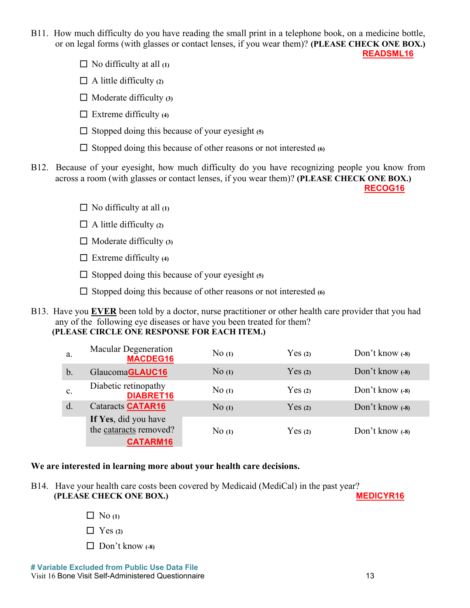- B11. How much difficulty do you have reading the small print in a telephone book, on a medicine bottle, or on legal forms (with glasses or contact lenses, if you wear them)? **(PLEASE CHECK ONE BOX.)** 
	- $\Box$  No difficulty at all  $\Box$
	- $\Box$  A little difficulty (2)
	- $\Box$  Moderate difficulty  $(3)$
	- $\Box$  Extreme difficulty (4)
	- $\Box$  Stopped doing this because of your eyesight  $(5)$
	- $\square$  Stopped doing this because of other reasons or not interested  $\omega$
- B12. Because of your eyesight, how much difficulty do you have recognizing people you know from across a room (with glasses or contact lenses, if you wear them)? **(PLEASE CHECK ONE BOX.)**

 **RECOG16**

**READSML16**

- $\Box$  No difficulty at all  $(1)$
- $\Box$  A little difficulty (2)
- $\Box$  Moderate difficulty  $(3)$
- Extreme difficulty **(4)**
- $\square$  Stopped doing this because of your eyesight  $(5)$
- $\square$  Stopped doing this because of other reasons or not interested  $\omega$
- B13. Have you **EVER** been told by a doctor, nurse practitioner or other health care provider that you had any of the following eye diseases or have you been treated for them?  **(PLEASE CIRCLE ONE RESPONSE FOR EACH ITEM.)**

| a.            | <b>Macular Degeneration</b><br><b>MACDEG16</b>                    | No(1) | Yes(2)    | Don't know $(-8)$ |
|---------------|-------------------------------------------------------------------|-------|-----------|-------------------|
| $\mathbf b$ . | GlaucomaGLAUC16                                                   | No(1) | Yes $(2)$ | Don't know $(-8)$ |
| c.            | Diabetic retinopathy<br><b>DIABRET16</b>                          | No(1) | Yes(2)    | Don't know $(-8)$ |
| d.            | Cataracts <b>CATAR16</b>                                          | No(1) | Yes $(2)$ | Don't know $(-8)$ |
|               | If Yes, did you have<br>the cataracts removed?<br><b>CATARM16</b> | No(1) | Yes(2)    | Don't know $(-8)$ |

#### **We are interested in learning more about your health care decisions.**

- B14. Have your health care costs been covered by Medicaid (MediCal) in the past year? **(PLEASE CHECK ONE BOX.) MEDICYR16**
	- $\Box$  No  $(1)$

 $\Box$  Yes  $(2)$ 

 $\Box$  Don't know  $(-8)$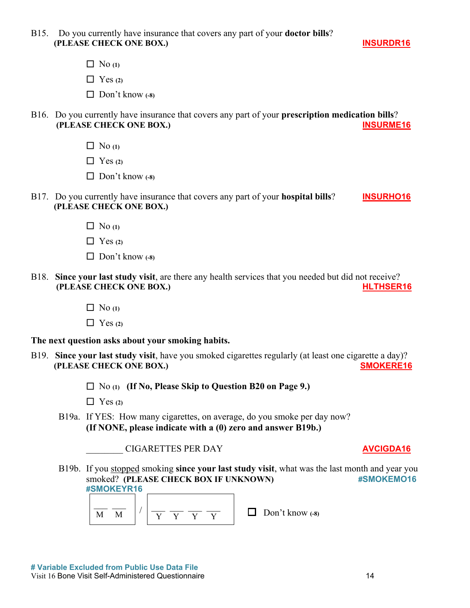B15. Do you currently have insurance that covers any part of your **doctor bills**? **(PLEASE CHECK ONE BOX.) INSURDR16**

 $\Box$  No  $\Box$ 

 $\Box$  Yes  $(2)$ 

- $\Box$  Don't know  $(-8)$
- B16. Do you currently have insurance that covers any part of your **prescription medication bills**? **(PLEASE CHECK ONE BOX.) INSURME16**

 $\Box$  No  $\Box$  $\Box$  Yes  $(2)$ 

- $\Box$  Don't know  $(-8)$
- B17. Do you currently have insurance that covers any part of your **hospital bills**? **INSURHO16 (PLEASE CHECK ONE BOX.)**
	- $\Box$  No (1)
	- $\Box$  Yes  $(2)$
	- $\Box$  Don't know  $(-8)$
- B18. **Since your last study visit**, are there any health services that you needed but did not receive? **(PLEASE CHECK ONE BOX.) HLTHSER16**

 $\Box$  No  $(1)$ 

 $\Box$  Yes (2)

#### **The next question asks about your smoking habits.**

- B19. **Since your last study visit**, have you smoked cigarettes regularly (at least one cigarette a day)? **(PLEASE CHECK ONE BOX.) SMOKERE16**
	- No **(1) (If No, Please Skip to Question B20 on Page 9.)**

 $\Box$  Yes  $(2)$ 

B19a. If YES: How many cigarettes, on average, do you smoke per day now? **(If NONE, please indicate with a (0) zero and answer B19b.)** 

\_\_\_\_\_\_\_\_ CIGARETTES PER DAY **AVCIGDA16**

- 
- B19b. If you stopped smoking **since your last study visit**, what was the last month and year you smoked? **(PLEASE CHECK BOX IF UNKNOWN) #SMOKEMO16 #SMOKEYR16**

|  | Don't know (-8) |
|--|-----------------|
|--|-----------------|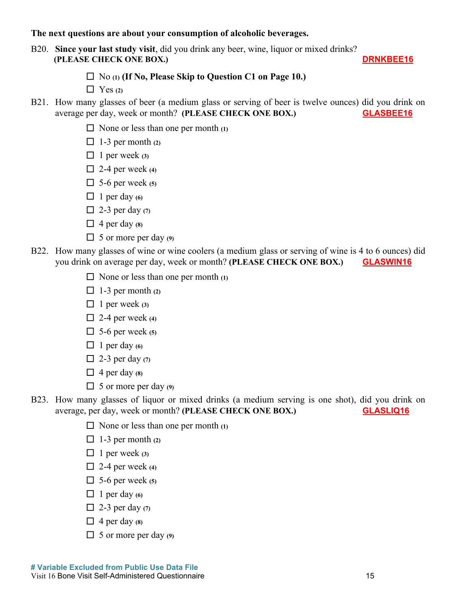#### **The next questions are about your consumption of alcoholic beverages.**

B20. **Since your last study visit**, did you drink any beer, wine, liquor or mixed drinks? **(PLEASE CHECK ONE BOX.) DRNKBEE16**

- No **(1) (If No, Please Skip to Question C1 on Page 10.)**
- $\Box$  Yes  $(2)$
- B21. How many glasses of beer (a medium glass or serving of beer is twelve ounces) did you drink on average per day, week or month? **(PLEASE CHECK ONE BOX.) GLASBEE16**
	- $\Box$  None or less than one per month  $(1)$
	- $\Box$  1-3 per month  $(2)$
	- $\Box$  1 per week (3)
	- $\Box$  2-4 per week (4)
	- $\Box$  5-6 per week  $(5)$
	- $\Box$  1 per day  $(6)$
	- $\Box$  2-3 per day  $(7)$
	- $\Box$  4 per day  $(8)$
	- $\Box$  5 or more per day (9)
- B22. How many glasses of wine or wine coolers (a medium glass or serving of wine is 4 to 6 ounces) did you drink on average per day, week or month? **(PLEASE CHECK ONE BOX.) GLASWIN16**
	- $\Box$  None or less than one per month  $(1)$
	- $\Box$  1-3 per month  $(2)$
	- $\Box$  1 per week (3)
	- $\Box$  2-4 per week  $(4)$
	- $\Box$  5-6 per week (5)
	- $\Box$  1 per day  $(6)$
	- $\Box$  2-3 per day  $(7)$
	- $\Box$  4 per day  $(8)$
	- $\Box$  5 or more per day (9)
- B23. How many glasses of liquor or mixed drinks (a medium serving is one shot), did you drink on average, per day, week or month? **(PLEASE CHECK ONE BOX.) GLASLIQ16**
	- None or less than one per month **(1)**
	- $\Box$  1-3 per month  $(2)$
	- $\Box$  1 per week (3)
	- $\Box$  2-4 per week (4)
	- $\Box$  5-6 per week (5)
	- $\Box$  1 per day  $(6)$
	- $\Box$  2-3 per day  $(7)$
	- $\Box$  4 per day  $(8)$
	- $\Box$  5 or more per day (9)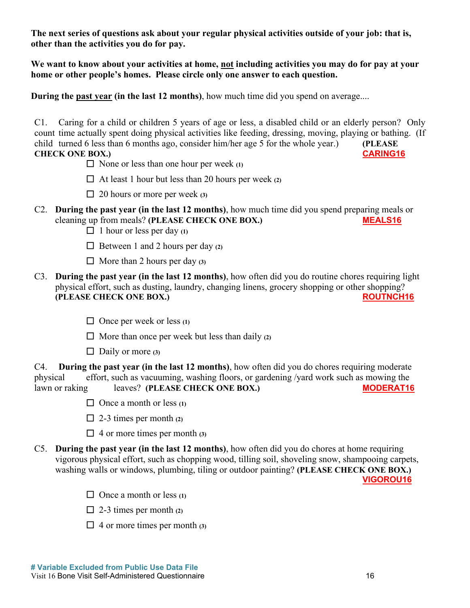**The next series of questions ask about your regular physical activities outside of your job: that is, other than the activities you do for pay.** 

**We want to know about your activities at home, not including activities you may do for pay at your home or other people's homes. Please circle only one answer to each question.**

**During the past year (in the last 12 months)**, how much time did you spend on average....

C1. Caring for a child or children 5 years of age or less, a disabled child or an elderly person? Only count time actually spent doing physical activities like feeding, dressing, moving, playing or bathing. (If child turned 6 less than 6 months ago, consider him/her age 5 for the whole year.) **(PLEASE CHECK ONE BOX.) CARING16**

- $\Box$  None or less than one hour per week (1)
- $\Box$  At least 1 hour but less than 20 hours per week  $\phi$
- $\Box$  20 hours or more per week (3)
- C2. **During the past year (in the last 12 months)**, how much time did you spend preparing meals or cleaning up from meals? **(PLEASE CHECK ONE BOX.) MEALS16**
	- $\Box$  1 hour or less per day (1)
	- $\Box$  Between 1 and 2 hours per day  $(2)$
	- $\Box$  More than 2 hours per day  $(3)$
- C3. **During the past year (in the last 12 months)**, how often did you do routine chores requiring light physical effort, such as dusting, laundry, changing linens, grocery shopping or other shopping? **(PLEASE CHECK ONE BOX.) ROUTNCH16**
	- $\Box$  Once per week or less  $(1)$
	- $\Box$  More than once per week but less than daily  $(2)$
	- $\Box$  Daily or more  $(3)$

C4. **During the past year (in the last 12 months)**, how often did you do chores requiring moderate physical effort, such as vacuuming, washing floors, or gardening /yard work such as mowing the lawn or raking leaves? **(PLEASE CHECK ONE BOX.) MODERAT16** 

- $\Box$  Once a month or less  $\Box$
- $\Box$  2-3 times per month  $(2)$
- $\Box$  4 or more times per month  $\alpha$
- C5. **During the past year (in the last 12 months)**, how often did you do chores at home requiring vigorous physical effort, such as chopping wood, tilling soil, shoveling snow, shampooing carpets, washing walls or windows, plumbing, tiling or outdoor painting? **(PLEASE CHECK ONE BOX.) VIGOROU16**

 $\Box$  Once a month or less  $(1)$ 

- $\Box$  2-3 times per month  $(2)$
- $\Box$  4 or more times per month  $\alpha$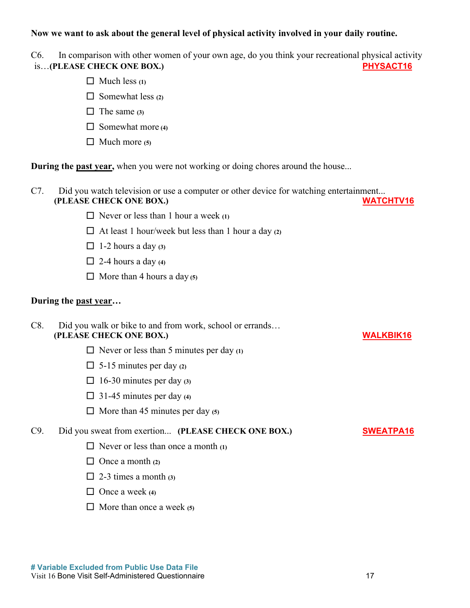#### **Now we want to ask about the general level of physical activity involved in your daily routine.**

- C6. In comparison with other women of your own age, do you think your recreational physical activity is…**(PLEASE CHECK ONE BOX.) PHYSACT16**
	- $\Box$  Much less  $(1)$
	- Somewhat less **(2)**
	- $\Box$  The same  $(3)$
	- Somewhat more **(4)**
	- $\Box$  Much more  $(5)$

**During the past year,** when you were not working or doing chores around the house...

- C7. Did you watch television or use a computer or other device for watching entertainment... **(PLEASE CHECK ONE BOX.) WATCHTV16**
	- $\Box$  Never or less than 1 hour a week  $(1)$
	- $\Box$  At least 1 hour/week but less than 1 hour a day  $\alpha$
	- $\Box$  1-2 hours a day (3)
	- $\Box$  2-4 hours a day  $(4)$
	- $\Box$  More than 4 hours a day  $(5)$

#### **During the past year…**

| C8. | Did you walk or bike to and from work, school or errands |
|-----|----------------------------------------------------------|
|     | (PLEASE CHECK ONE BOX.)                                  |

- $\Box$  Never or less than 5 minutes per day  $(1)$
- $\Box$  5-15 minutes per day  $(2)$
- $\Box$  16-30 minutes per day  $\Box$
- $\Box$  31-45 minutes per day  $(4)$
- $\Box$  More than 45 minutes per day  $(5)$
- C9. Did you sweat from exertion... **(PLEASE CHECK ONE BOX.) SWEATPA16**
	- $\Box$  Never or less than once a month  $(1)$
	- $\Box$  Once a month  $(2)$
	- $\Box$  2-3 times a month  $\alpha$
	- $\Box$  Once a week (4)
	- $\Box$  More than once a week  $(5)$

#### **(PLEASE CHECK ONE BOX.) WALKBIK16**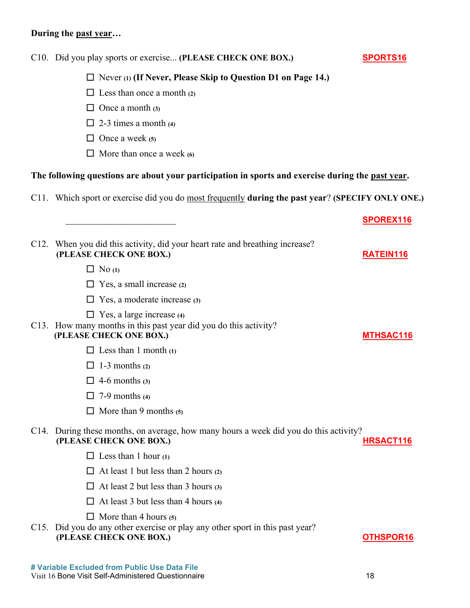### **During the past year…**

| C10. Did you play sports or exercise (PLEASE CHECK ONE BOX.)                                                                             | <b>SPORTS16</b>  |
|------------------------------------------------------------------------------------------------------------------------------------------|------------------|
| $\Box$ Never (1) (If Never, Please Skip to Question D1 on Page 14.)                                                                      |                  |
| $\Box$ Less than once a month (2)                                                                                                        |                  |
| $\Box$ Once a month (3)                                                                                                                  |                  |
| $\Box$ 2-3 times a month (4)                                                                                                             |                  |
| $\Box$ Once a week (5)                                                                                                                   |                  |
| $\Box$ More than once a week (6)                                                                                                         |                  |
| The following questions are about your participation in sports and exercise during the past year.                                        |                  |
| C11. Which sport or exercise did you do most frequently during the past year? (SPECIFY ONLY ONE.)                                        |                  |
|                                                                                                                                          | SPOREX116        |
| C12. When you did this activity, did your heart rate and breathing increase?<br>(PLEASE CHECK ONE BOX.)                                  | RATEIN116        |
| $\Box$ No (1)                                                                                                                            |                  |
| $\Box$ Yes, a small increase (2)                                                                                                         |                  |
| $\Box$ Yes, a moderate increase (3)                                                                                                      |                  |
| $\Box$ Yes, a large increase (4)<br>C13. How many months in this past year did you do this activity?<br>(PLEASE CHECK ONE BOX.)          | <b>MTHSAC116</b> |
| $\Box$ Less than 1 month (1)                                                                                                             |                  |
| $\Box$ 1-3 months (2)                                                                                                                    |                  |
| $\Box$ 4-6 months (3)                                                                                                                    |                  |
| $\Box$ 7-9 months (4)                                                                                                                    |                  |
| More than 9 months $(5)$<br>Ш                                                                                                            |                  |
| C14. During these months, on average, how many hours a week did you do this activity?<br>(PLEASE CHECK ONE BOX.)                         | <u>HRSACT116</u> |
| $\Box$ Less than 1 hour (1)                                                                                                              |                  |
| At least 1 but less than 2 hours (2)                                                                                                     |                  |
| $\Box$ At least 2 but less than 3 hours (3)                                                                                              |                  |
| At least 3 but less than 4 hours (4)                                                                                                     |                  |
| $\Box$ More than 4 hours (5)<br>C15. Did you do any other exercise or play any other sport in this past year?<br>(PLEASE CHECK ONE BOX.) | OTHSPOR16        |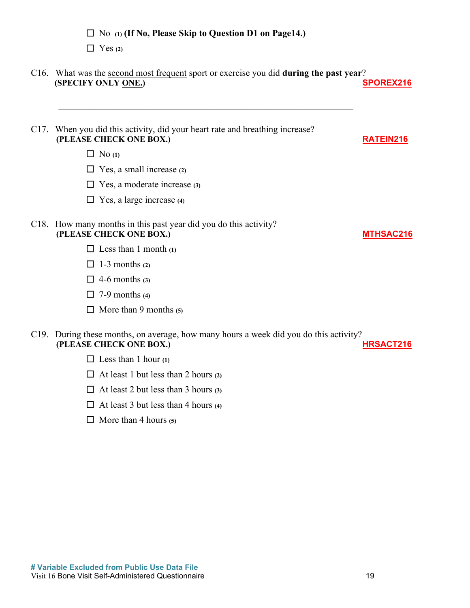|  |  |  |  |  |  |  | $\Box$ No (1) (If No, Please Skip to Question D1 on Page14.) |
|--|--|--|--|--|--|--|--------------------------------------------------------------|
|--|--|--|--|--|--|--|--------------------------------------------------------------|

 $\Box$  Yes (2)

- C16. What was the second most frequent sport or exercise you did **during the past year**? **(SPECIFY ONLY ONE.) SPOREX216**
- C17. When you did this activity, did your heart rate and breathing increase?  **(PLEASE CHECK ONE BOX.) RATEIN216**
	- $\Box$  No  $(1)$
	- $\Box$  Yes, a small increase  $(2)$
	- Yes, a moderate increase **(3)**
	- Yes, a large increase **(4)**
- C18. How many months in this past year did you do this activity?  **(PLEASE CHECK ONE BOX.) MTHSAC216**
	- $\Box$  Less than 1 month  $(1)$
	- $\Box$  1-3 months  $(2)$
	- $\Box$  4-6 months  $\alpha$
	- $\Box$  7-9 months (4)
	- $\Box$  More than 9 months  $(5)$
- C19. During these months, on average, how many hours a week did you do this activity?  **(PLEASE CHECK ONE BOX.) HRSACT216**

 $\Box$  Less than 1 hour (1)

- $\Box$  At least 1 but less than 2 hours (2)
- $\Box$  At least 2 but less than 3 hours (3)
- $\Box$  At least 3 but less than 4 hours (4)
- $\Box$  More than 4 hours  $(5)$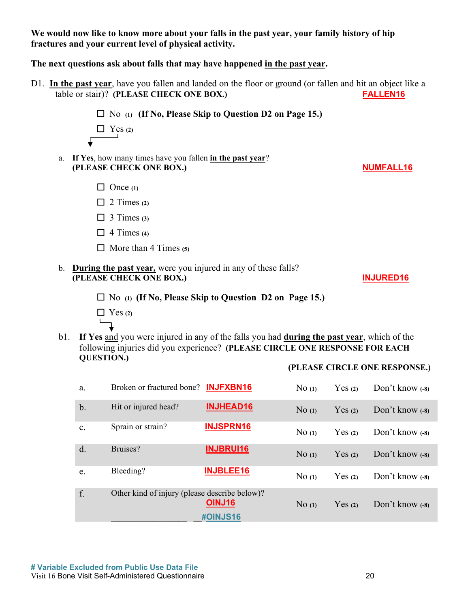**We would now like to know more about your falls in the past year, your family history of hip fractures and your current level of physical activity.**

**The next questions ask about falls that may have happened in the past year.**

- D1. **In the past year**, have you fallen and landed on the floor or ground (or fallen and hit an object like a table or stair)? **(PLEASE CHECK ONE BOX.) FALLEN16**
	- No **(1) (If No, Please Skip to Question D2 on Page 15.)**

$$
\begin{array}{c}\n\Box \text{ Yes (2)} \\
\downarrow \text{ } \\
\end{array}
$$

- a. **If Yes**, how many times have you fallen **in the past year**? **(PLEASE CHECK ONE BOX.) NUMFALL16**
	- $\Box$  Once  $(1)$
	- $\Box$  2 Times (2)
	- $\Box$  3 Times (3)
	- $\Box$  4 Times (4)
	- $\Box$  More than 4 Times  $(5)$
- b. **During the past year***,* were you injured in any of these falls? **(PLEASE CHECK ONE BOX.) INJURED16**
	-
	- No **(1) (If No, Please Skip to Question D2 on Page 15.)**
	- $\Box$  Yes  $(2)$ J
- b1. **If Yes** and you were injured in any of the falls you had **during the past year**, which of the following injuries did you experience? **(PLEASE CIRCLE ONE RESPONSE FOR EACH QUESTION.)**

#### **(PLEASE CIRCLE ONE RESPONSE.)**

| a.             | Broken or fractured bone? INJFXBN16           |                  | No(1) | Yes(2)    | Don't know $(-8)$ |
|----------------|-----------------------------------------------|------------------|-------|-----------|-------------------|
| $\mathbf b$ .  | Hit or injured head?                          | <b>INJHEAD16</b> | No(1) | Yes(2)    | Don't know $(-8)$ |
| $\mathbf{c}$ . | Sprain or strain?                             | <b>INJSPRN16</b> | No(1) | Yes(2)    | Don't know $(-8)$ |
| $\rm d$ .      | Bruises?                                      | <b>INJBRUI16</b> | No(1) | Yes $(2)$ | Don't know $(-8)$ |
| e.             | Bleeding?                                     | <b>INJBLEE16</b> | No(1) | Yes(2)    | Don't know $(-8)$ |
| f.             | Other kind of injury (please describe below)? | <b>OINJ16</b>    | No(1) | Yes(2)    | Don't know $(-8)$ |
|                |                                               | #OINJS16         |       |           |                   |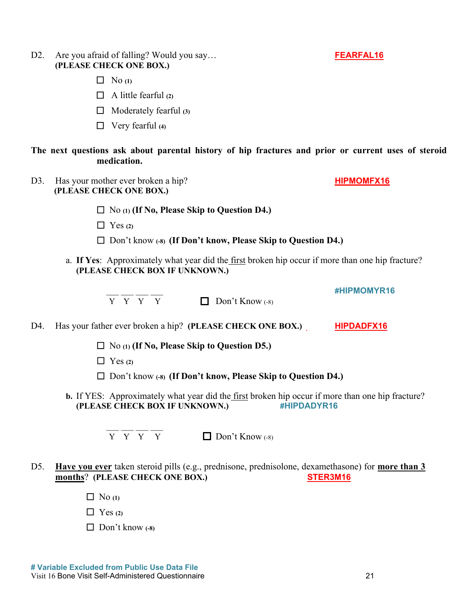- D2. Are you afraid of falling? Would you say... **FEARFAL16 (PLEASE CHECK ONE BOX.)**
	- $\Box$  No (1)

 $\Box$  A little fearful  $(2)$ 

 $\Box$  Moderately fearful  $\alpha$ 

 $\Box$  Very fearful  $(4)$ 

**The next questions ask about parental history of hip fractures and prior or current uses of steroid medication.** 

- D3. Has your mother ever broken a hip? **HIPMOMFX16 (PLEASE CHECK ONE BOX.)**
	- No **(1) (If No, Please Skip to Question D4.)**
	- $\Box$  Yes  $(2)$
	- Don't know **(-8) (If Don't know, Please Skip to Question D4.)**
	- a. **If Yes**: Approximately what year did the first broken hip occur if more than one hip fracture? **(PLEASE CHECK BOX IF UNKNOWN.)** 
		- $\overline{Y}$   $\overline{Y}$   $\overline{Y}$   $\overline{Y}$   $\overline{Y}$   $\overline{Y}$   $\overline{Y}$   $\overline{Y}$   $\overline{Y}$   $\overline{Y}$   $\overline{Y}$   $\overline{Y}$   $\overline{Y}$   $\overline{Y}$   $\overline{Y}$   $\overline{Y}$   $\overline{Y}$   $\overline{Y}$   $\overline{Y}$   $\overline{Y}$   $\overline{Y}$   $\overline{Y}$   $\overline{Y}$   $\overline{Y}$   $\overline{$  $\Box$  Don't Know (-8)

D4. Has your father ever broken a hip? **(PLEASE CHECK ONE BOX.) HIPDADFX16** 

No **(1) (If No, Please Skip to Question D5.)**

 $\Box$  Yes  $(2)$ 

 $\frac{1}{\sqrt{2}}$  ,  $\frac{1}{\sqrt{2}}$  ,  $\frac{1}{\sqrt{2}}$  ,  $\frac{1}{\sqrt{2}}$  ,  $\frac{1}{\sqrt{2}}$  ,  $\frac{1}{\sqrt{2}}$ 

- Don't know **(-8) (If Don't know, Please Skip to Question D4.)**
- **b.** If YES: Approximately what year did the first broken hip occur if more than one hip fracture? **(PLEASE CHECK BOX IF UNKNOWN.) #HIPDADYR16**

 $\overline{Y} \ \overline{Y} \ \overline{Y} \ \overline{Y}$  Don't Know (-8)

- D5. **Have you ever** taken steroid pills (e.g., prednisone, prednisolone, dexamethasone) for **more than 3 months**? **(PLEASE CHECK ONE BOX.) STER3M16**
	- $\Box$  No  $\Box$

 $\Box$  Yes  $(2)$ 

 $\Box$  Don't know  $(-8)$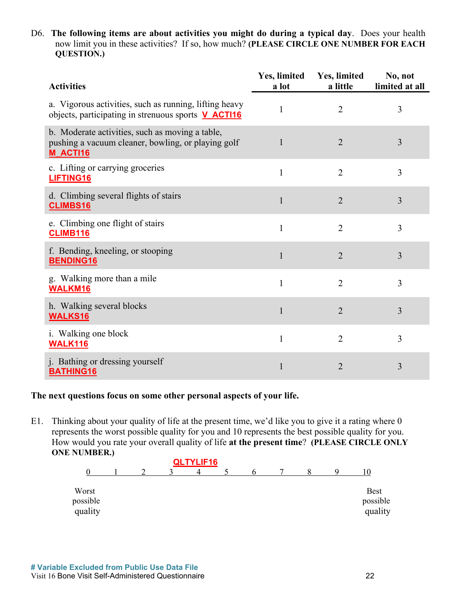D6. **The following items are about activities you might do during a typical day**. Does your health now limit you in these activities? If so, how much? **(PLEASE CIRCLE ONE NUMBER FOR EACH QUESTION.)**

| <b>Activities</b>                                                                                                    | Yes, limited<br>a lot | Yes, limited<br>a little | No, not<br>limited at all |
|----------------------------------------------------------------------------------------------------------------------|-----------------------|--------------------------|---------------------------|
| a. Vigorous activities, such as running, lifting heavy<br>objects, participating in strenuous sports <b>V ACTI16</b> | $\mathbf{1}$          | $\overline{2}$           | 3                         |
| b. Moderate activities, such as moving a table,<br>pushing a vacuum cleaner, bowling, or playing golf<br>M ACTI16    | $\mathbf{1}$          | $\overline{2}$           | $\overline{3}$            |
| c. Lifting or carrying groceries<br>LIFTING16                                                                        | $\mathbf{1}$          | $\overline{2}$           | 3                         |
| d. Climbing several flights of stairs<br><b>CLIMBS16</b>                                                             | $\mathbf{1}$          | $\overline{2}$           | 3                         |
| e. Climbing one flight of stairs<br><b>CLIMB116</b>                                                                  | 1                     | $\overline{2}$           | 3                         |
| f. Bending, kneeling, or stooping<br><b>BENDING16</b>                                                                | $\mathbf{1}$          | $\overline{2}$           | 3                         |
| g. Walking more than a mile<br><b>WALKM16</b>                                                                        | $\mathbf{1}$          | $\overline{2}$           | 3                         |
| h. Walking several blocks<br><b>WALKS16</b>                                                                          | $\mathbf{1}$          | $\overline{2}$           | 3                         |
| i. Walking one block<br><b>WALK116</b>                                                                               | 1                     | $\overline{2}$           | $\overline{3}$            |
| j. Bathing or dressing yourself<br><b>BATHING16</b>                                                                  | 1                     | $\overline{2}$           | 3                         |

#### **The next questions focus on some other personal aspects of your life.**

E1. Thinking about your quality of life at the present time, we'd like you to give it a rating where 0 represents the worst possible quality for you and 10 represents the best possible quality for you. How would you rate your overall quality of life **at the present time**? **(PLEASE CIRCLE ONLY ONE NUMBER.)** 

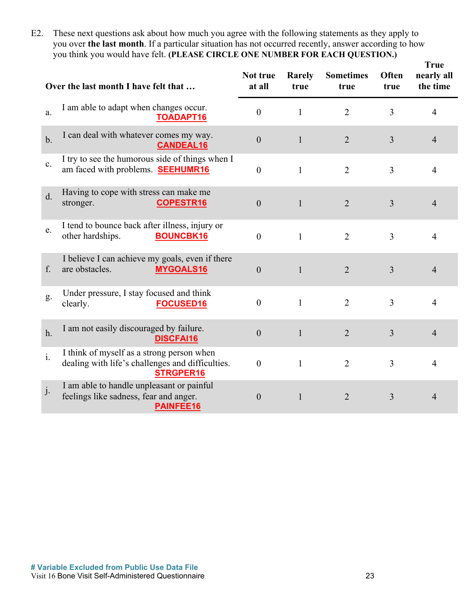E2. These next questions ask about how much you agree with the following statements as they apply to you over **the last month**. If a particular situation has not occurred recently, answer according to how you think you would have felt. **(PLEASE CIRCLE ONE NUMBER FOR EACH QUESTION.) True** 

|                | Over the last month I have felt that                                                                       | Not true<br>at all | Rarely<br>true | <b>Sometimes</b><br>true | Often<br>true  | 1 rue<br>nearly all<br>the time |
|----------------|------------------------------------------------------------------------------------------------------------|--------------------|----------------|--------------------------|----------------|---------------------------------|
| a.             | I am able to adapt when changes occur.<br>TOADAPT16                                                        | $\mathbf{0}$       | 1              | $\overline{2}$           | $\overline{3}$ | $\overline{4}$                  |
| $b$ .          | I can deal with whatever comes my way.<br><b>CANDEAL16</b>                                                 | $\boldsymbol{0}$   | $\mathbf{1}$   | $\overline{2}$           | $\overline{3}$ | $\overline{4}$                  |
| $\mathbf{c}$ . | I try to see the humorous side of things when I<br>am faced with problems. <b>SEEHUMR16</b>                | $\theta$           | $\mathbf{1}$   | $\overline{2}$           | $\overline{3}$ | 4                               |
| $d$ .          | Having to cope with stress can make me<br><b>COPESTR16</b><br>stronger.                                    | $\overline{0}$     | $\mathbf{1}$   | $\overline{2}$           | $\overline{3}$ | $\overline{4}$                  |
| e.             | I tend to bounce back after illness, injury or<br>other hardships.<br><b>BOUNCBK16</b>                     | $\theta$           | $\mathbf{1}$   | $\overline{2}$           | $\overline{3}$ | 4                               |
| f.             | I believe I can achieve my goals, even if there<br>are obstacles.<br><b>MYGOALS16</b>                      | $\overline{0}$     | $\mathbf{1}$   | $\overline{2}$           | $\overline{3}$ | $\overline{4}$                  |
| g.             | Under pressure, I stay focused and think<br>clearly.<br><b>FOCUSED16</b>                                   | $\theta$           | $\mathbf{1}$   | $\overline{2}$           | $\overline{3}$ | $\overline{4}$                  |
| h.             | I am not easily discouraged by failure.<br><b>DISCFAI16</b>                                                | $\overline{0}$     | $\mathbf{1}$   | $\overline{2}$           | $\overline{3}$ | $\overline{4}$                  |
| $\mathbf{i}$ . | I think of myself as a strong person when<br>dealing with life's challenges and difficulties.<br>STRGPER16 | $\mathbf{0}$       | $\mathbf{1}$   | $\overline{2}$           | $\overline{3}$ | 4                               |
| $\mathbf{J}$   | I am able to handle unpleasant or painful<br>feelings like sadness, fear and anger.<br><b>PAINFEE16</b>    | $\mathbf{0}$       | 1              | $\overline{2}$           | 3              | 4                               |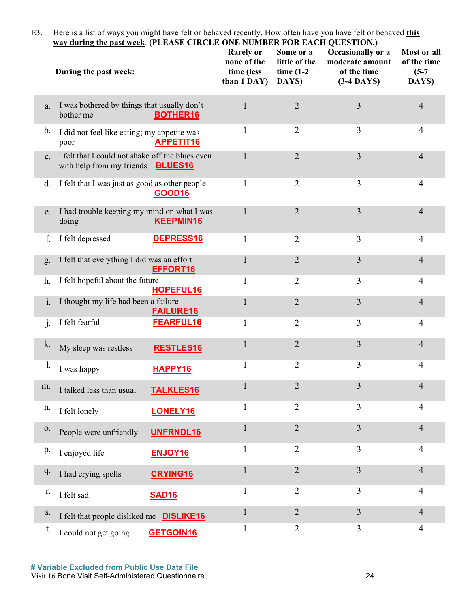|                | way during the past week. (PLEASE CIRCLE ONE NUMBER FOR EACH QUESTION.)<br>During the past week: |                  | <b>Rarely or</b><br>none of the<br>time (less<br>than $1$ DAY) | Some or a<br>little of the<br>time $(1-2)$<br>DAYS) | Occasionally or a<br>moderate amount<br>of the time<br>$(3-4$ DAYS) | Most or all<br>of the time<br>$(5-7)$<br>DAYS) |
|----------------|--------------------------------------------------------------------------------------------------|------------------|----------------------------------------------------------------|-----------------------------------------------------|---------------------------------------------------------------------|------------------------------------------------|
| a.             | I was bothered by things that usually don't<br>bother me                                         | <b>BOTHER16</b>  | 1                                                              | $\overline{2}$                                      | 3                                                                   | $\overline{4}$                                 |
| b.             | I did not feel like eating; my appetite was<br>poor                                              | <b>APPETIT16</b> | 1                                                              | $\overline{2}$                                      | 3                                                                   | $\overline{4}$                                 |
| $\mathbf{c}$ . | I felt that I could not shake off the blues even<br>with help from my friends <b>BLUES16</b>     |                  | 1                                                              | $\overline{2}$                                      | 3                                                                   | $\overline{4}$                                 |
| d.             | I felt that I was just as good as other people                                                   | <b>GOOD16</b>    | $\mathbf{1}$                                                   | $\overline{2}$                                      | 3                                                                   | $\overline{4}$                                 |
| e.             | I had trouble keeping my mind on what I was<br>doing                                             | <b>KEEPMIN16</b> | $\mathbf{1}$                                                   | $\overline{2}$                                      | 3                                                                   | $\overline{4}$                                 |
| f.             | I felt depressed                                                                                 | DEPRESS16        | $\mathbf{1}$                                                   | $\overline{2}$                                      | 3                                                                   | $\overline{4}$                                 |
| g.             | I felt that everything I did was an effort                                                       | EFFORT16         | $\mathbf{1}$                                                   | $\overline{2}$                                      | 3                                                                   | $\overline{4}$                                 |
| h.             | I felt hopeful about the future                                                                  | HOPEFUL16        | $\mathbf{1}$                                                   | $\overline{2}$                                      | 3                                                                   | $\overline{4}$                                 |
| $\mathbf{i}$ . | I thought my life had been a failure                                                             | <b>FAILURE16</b> | $\mathbf{1}$                                                   | $\overline{2}$                                      | 3                                                                   | $\overline{4}$                                 |
| $\mathbf{j}$ . | I felt fearful                                                                                   | <b>FEARFUL16</b> | $\mathbf{1}$                                                   | $\overline{2}$                                      | 3                                                                   | $\overline{4}$                                 |
| k.             | My sleep was restless                                                                            | <b>RESTLES16</b> |                                                                | $\overline{2}$                                      | 3                                                                   | $\overline{4}$                                 |
| 1.             | I was happy                                                                                      | HAPPY16          | 1                                                              | $\overline{2}$                                      | 3                                                                   | $\overline{4}$                                 |
| m.             | I talked less than usual                                                                         | <b>TALKLES16</b> |                                                                | $\overline{2}$                                      | 3                                                                   | $\overline{4}$                                 |
| n.             | I felt lonely                                                                                    | LONELY16         | $\mathbf{1}$                                                   | $\overline{2}$                                      | 3                                                                   | $\overline{4}$                                 |
| 0.             | People were unfriendly                                                                           | UNFRNDL16        | $\mathbf{1}$                                                   | $\overline{2}$                                      | 3                                                                   | $\overline{4}$                                 |
| p.             | I enjoyed life                                                                                   | ENJOY16          | $\mathbf{1}$                                                   | $\overline{2}$                                      | 3                                                                   | $\overline{4}$                                 |
| q.             | I had crying spells                                                                              | <b>CRYING16</b>  | $\mathbf{1}$                                                   | $\overline{2}$                                      | 3                                                                   | $\overline{4}$                                 |
| r.             | I felt sad                                                                                       | <b>SAD16</b>     | 1                                                              | $\overline{2}$                                      | 3                                                                   | 4                                              |
| S.             | I felt that people disliked me <b>DISLIKE16</b>                                                  |                  | $\mathbf{1}$                                                   | $\overline{2}$                                      | 3                                                                   | $\overline{4}$                                 |
| t.             | I could not get going                                                                            | <b>GETGOIN16</b> | $\mathbf{1}$                                                   | $\overline{2}$                                      | 3                                                                   | $\overline{4}$                                 |

#### **# Variable Excluded from Public Use Data File** Visit 16 Bone Visit Self-Administered Questionnaire 24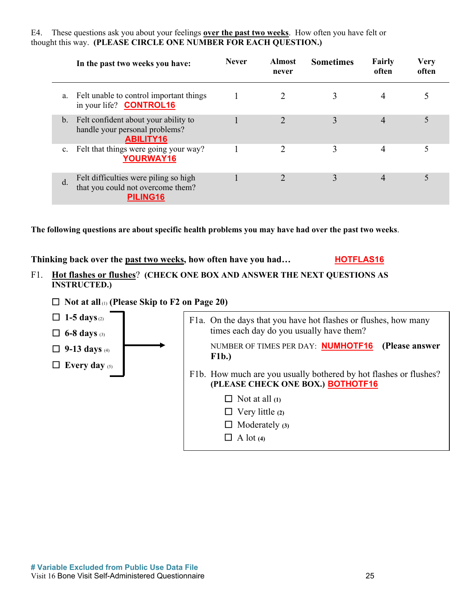E4. These questions ask you about your feelings **over the past two weeks**. How often you have felt or thought this way. **(PLEASE CIRCLE ONE NUMBER FOR EACH QUESTION.)**

|                | In the past two weeks you have:                                                            | <b>Never</b> | <b>Almost</b><br>never | <b>Sometimes</b> | Fairly<br>often | <b>Very</b><br>often |
|----------------|--------------------------------------------------------------------------------------------|--------------|------------------------|------------------|-----------------|----------------------|
| a.             | Felt unable to control important things<br>in your life? <b>CONTROL16</b>                  |              | 2                      |                  | 4               |                      |
| $\mathbf{b}$ . | Felt confident about your ability to<br>handle your personal problems?<br><b>ABILITY16</b> |              | $\mathcal{D}$          | 3                | 4               | 5                    |
| $\mathbf{c}$ . | Felt that things were going your way?<br>YOURWAY16                                         |              | $\mathfrak{D}$         |                  | 4               |                      |
| d.             | Felt difficulties were piling so high<br>that you could not overcome them?<br>PILING16     |              |                        |                  | 4               |                      |

**The following questions are about specific health problems you may have had over the past two weeks**.

**Thinking back over the past two weeks, how often have you had... HOTFLAS16** 

- F1. **Hot flashes or flushes**? **(CHECK ONE BOX AND ANSWER THE NEXT QUESTIONS AS INSTRUCTED.)**
	- **Not at all** (1) **(Please Skip to F2 on Page 20)**

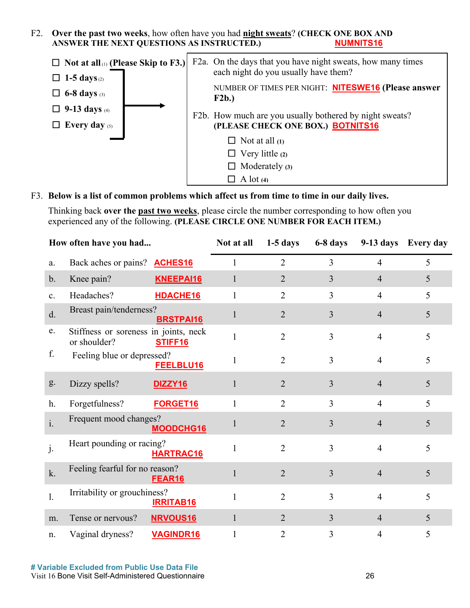#### F2. **Over the past two weeks**, how often have you had **night sweats**? **(CHECK ONE BOX AND ANSWER THE NEXT QUESTIONS AS INSTRUCTED.) MUMNITS16**

| $\Box$ Not at all (1) (Please Skip to F3.)<br>$\Box$ 1-5 days (2) | F2a. On the days that you have night sweats, how many times<br>each night do you usually have them? |
|-------------------------------------------------------------------|-----------------------------------------------------------------------------------------------------|
| $\Box$ 6-8 days (3)                                               | NUMBER OF TIMES PER NIGHT: <b>NITESWE16</b> (Please answer<br>F2b.                                  |
| $\Box$ 9-13 days (4)<br>$\Box$ Every day (5)                      | F2b. How much are you usually bothered by night sweats?<br>(PLEASE CHECK ONE BOX.) BOTNITS16        |
|                                                                   | $\Box$ Not at all $(1)$                                                                             |
|                                                                   | $\Box$ Very little (2)                                                                              |
|                                                                   | $\Box$ Moderately (3)                                                                               |
|                                                                   | A lot $(4)$                                                                                         |

### F3. **Below is a list of common problems which affect us from time to time in our daily lives.**

Thinking back **over the past two weeks**, please circle the number corresponding to how often you experienced any of the following. **(PLEASE CIRCLE ONE NUMBER FOR EACH ITEM.)** 

| How often have you had |                                                       |                  | Not at all   | $1-5$ days     | 6-8 days       |                | 9-13 days Every day |
|------------------------|-------------------------------------------------------|------------------|--------------|----------------|----------------|----------------|---------------------|
| a.                     | Back aches or pains? <b>ACHES16</b>                   |                  | 1            | $\overline{2}$ | 3              | $\overline{4}$ | 5                   |
| b.                     | Knee pain?                                            | <b>KNEEPAI16</b> | $\mathbf{1}$ | 2              | $\overline{3}$ | $\overline{4}$ | 5                   |
| c.                     | Headaches?                                            | HDACHE16         | 1            | $\overline{2}$ | 3              | 4              | 5                   |
| d.                     | Breast pain/tenderness?                               | <b>BRSTPAI16</b> | 1            | $\overline{2}$ | 3              | $\overline{4}$ | 5                   |
| e.                     | Stiffness or soreness in joints, neck<br>or shoulder? | STIFF16          | 1            | $\overline{2}$ | 3              | $\overline{4}$ | 5                   |
| f.                     | Feeling blue or depressed?                            | FEELBLU16        |              | $\overline{2}$ | 3              | $\overline{4}$ | 5                   |
| g.                     | Dizzy spells?                                         | <b>DIZZY16</b>   | $\mathbf{1}$ | $\overline{2}$ | 3              | $\overline{4}$ | 5                   |
| h.                     | Forgetfulness?                                        | FORGET16         | 1            | $\overline{2}$ | 3              | 4              | 5                   |
| $\mathbf{i}$ .         | Frequent mood changes?                                | <b>MOODCHG16</b> | 1            | $\overline{2}$ | $\overline{3}$ | $\overline{4}$ | 5                   |
| $\mathbf{j}$ .         | Heart pounding or racing?                             | <b>HARTRAC16</b> |              | $\overline{2}$ | 3              | $\overline{4}$ | 5                   |
| k.                     | Feeling fearful for no reason?                        | FEAR16           | 1            | $\overline{2}$ | 3              | $\overline{4}$ | 5                   |
| 1.                     | Irritability or grouchiness?                          | <b>IRRITAB16</b> | 1            | $\overline{2}$ | 3              | $\overline{4}$ | 5                   |
| m.                     | Tense or nervous?                                     | <b>NRVOUS16</b>  | $\mathbf{1}$ | $\overline{2}$ | $\overline{3}$ | $\overline{4}$ | 5                   |
| n.                     | Vaginal dryness?                                      | <b>VAGINDR16</b> | 1            | $\overline{2}$ | 3              | 4              | 5                   |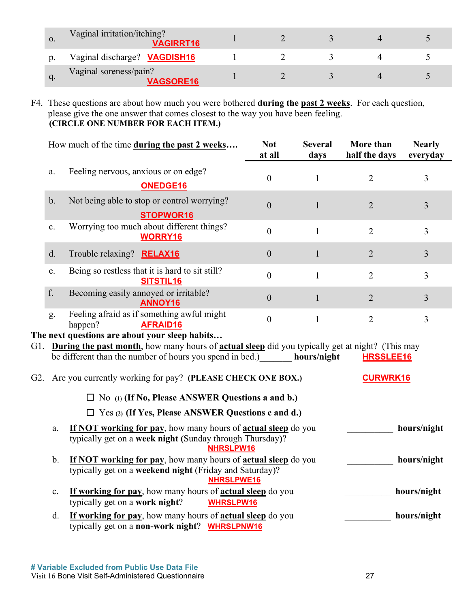| $\mathbf{O}$ | Vaginal irritation/itching?<br><b>VAGIRRT16</b> |  |  |  |
|--------------|-------------------------------------------------|--|--|--|
|              | Vaginal discharge? VAGDISH16                    |  |  |  |
| q.           | Vaginal soreness/pain?<br><b>VAGSORE16</b>      |  |  |  |

F4. These questions are about how much you were bothered **during the past 2 weeks**. For each question, please give the one answer that comes closest to the way you have been feeling. **(CIRCLE ONE NUMBER FOR EACH ITEM.)**

|                                                                                                                                                                    |       | How much of the time during the past 2 weeks                                                                                                                                                                                                  | <b>Not</b><br>at all | <b>Several</b><br>days | More than<br>half the days          | <b>Nearly</b><br>everyday |
|--------------------------------------------------------------------------------------------------------------------------------------------------------------------|-------|-----------------------------------------------------------------------------------------------------------------------------------------------------------------------------------------------------------------------------------------------|----------------------|------------------------|-------------------------------------|---------------------------|
|                                                                                                                                                                    | a.    | Feeling nervous, anxious or on edge?<br><b>ONEDGE16</b>                                                                                                                                                                                       | $\mathbf{0}$         | $\mathbf{1}$           | $\overline{2}$                      | $\overline{3}$            |
|                                                                                                                                                                    | $b$ . | Not being able to stop or control worrying?<br>STOPWOR16                                                                                                                                                                                      | $\boldsymbol{0}$     | $\mathbf{1}$           | $\overline{2}$                      | $\overline{3}$            |
|                                                                                                                                                                    | c.    | Worrying too much about different things?<br><b>WORRY16</b>                                                                                                                                                                                   | $\mathbf{0}$         | $\mathbf{1}$           | $\overline{2}$                      | 3                         |
|                                                                                                                                                                    | d.    | Trouble relaxing? RELAX16                                                                                                                                                                                                                     | $\boldsymbol{0}$     | $\mathbf{1}$           | $\overline{2}$                      | 3                         |
|                                                                                                                                                                    | e.    | Being so restless that it is hard to sit still?<br><b>SITSTIL16</b>                                                                                                                                                                           | $\boldsymbol{0}$     | $\mathbf{1}$           | $\overline{2}$                      | 3                         |
|                                                                                                                                                                    | f.    | Becoming easily annoyed or irritable?<br><b>ANNOY16</b>                                                                                                                                                                                       | $\mathbf{0}$         | $\mathbf{1}$           | $\overline{2}$                      | 3                         |
|                                                                                                                                                                    | g.    | Feeling afraid as if something awful might<br>AFRAID16<br>happen?<br>The next questions are about your sleep habits                                                                                                                           | $\boldsymbol{0}$     | $\mathbf{1}$           | $\overline{2}$                      | 3                         |
|                                                                                                                                                                    |       | G1. During the past month, how many hours of actual sleep did you typically get at night? (This may<br>be different than the number of hours you spend in bed.) hours/night<br>G2. Are you currently working for pay? (PLEASE CHECK ONE BOX.) |                      |                        | <b>HRSSLEE16</b><br><b>CURWRK16</b> |                           |
|                                                                                                                                                                    |       | $\Box$ No (1) (If No, Please ANSWER Questions a and b.)                                                                                                                                                                                       |                      |                        |                                     |                           |
|                                                                                                                                                                    |       | $\Box$ Yes (2) (If Yes, Please ANSWER Questions c and d.)                                                                                                                                                                                     |                      |                        |                                     |                           |
|                                                                                                                                                                    | a.    | If NOT working for pay, how many hours of actual sleep do you<br>typically get on a week night (Sunday through Thursday)?<br>NHRSLPW16                                                                                                        |                      |                        |                                     | hours/night               |
| If NOT working for pay, how many hours of actual sleep do you<br>hours/night<br>b.<br>typically get on a weekend night (Friday and Saturday)?<br><b>NHRSLPWE16</b> |       |                                                                                                                                                                                                                                               |                      |                        |                                     |                           |
|                                                                                                                                                                    | c.    | If working for pay, how many hours of <b>actual sleep</b> do you<br>typically get on a work night?<br>WHRSLPW16                                                                                                                               |                      |                        |                                     | hours/night               |
|                                                                                                                                                                    | d.    | If working for pay, how many hours of <b>actual sleep</b> do you<br>typically get on a non-work night? WHRSLPNW16                                                                                                                             |                      |                        |                                     | hours/night               |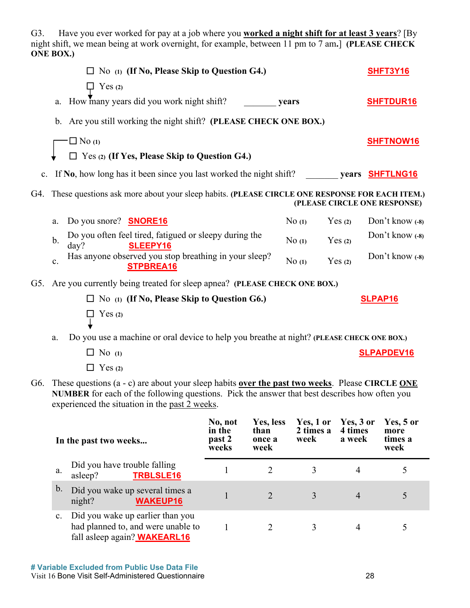G3. Have you ever worked for pay at a job where you **worked a night shift for at least 3 years**? [By night shift, we mean being at work overnight, for example, between 11 pm to 7 am**.**] **(PLEASE CHECK ONE BOX.)**

|             |                |                              | $\Box$ No (1) (If No, Please Skip to Question G4.)                                                |       |           | SHFT3Y16                     |
|-------------|----------------|------------------------------|---------------------------------------------------------------------------------------------------|-------|-----------|------------------------------|
|             |                | Yes(2)                       |                                                                                                   |       |           |                              |
|             | a.             |                              | How many years did you work night shift?                                                          | years |           | <b>SHFTDUR16</b>             |
|             |                |                              | b. Are you still working the night shift? (PLEASE CHECK ONE BOX.)                                 |       |           |                              |
|             |                | $\Box$ No (1)                |                                                                                                   |       |           | <b>SHFTNOW16</b>             |
|             |                |                              | $\Box$ Yes (2) (If Yes, Please Skip to Question G4.)                                              |       |           |                              |
| $c_{\cdot}$ |                |                              | If No, how long has it been since you last worked the night shift? years <b>SHFTLNG16</b>         |       |           |                              |
|             |                |                              | G4. These questions ask more about your sleep habits. (PLEASE CIRCLE ONE RESPONSE FOR EACH ITEM.) |       |           | (PLEASE CIRCLE ONE RESPONSE) |
|             | a.             | Do you snore? <b>SNORE16</b> |                                                                                                   | No(1) | Yes $(2)$ | Don't know $(-8)$            |
|             | $\mathbf{b}$ . | day?                         | Do you often feel tired, fatigued or sleepy during the<br>SLEEPY16                                | No(1) | Yes $(2)$ | Don't know (-8)              |
|             | c.             |                              | Has anyone observed you stop breathing in your sleep?<br>STPBREA16                                | No(1) | Yes $(2)$ | Don't know (-8)              |
| G5.         |                |                              | Are you currently being treated for sleep apnea? (PLEASE CHECK ONE BOX.)                          |       |           |                              |
|             |                |                              | $\Box$ No (1) (If No, Please Skip to Question G6.)                                                |       |           | SLPAP16                      |
|             |                | Yes(2)                       |                                                                                                   |       |           |                              |
|             | a.             |                              | Do you use a machine or oral device to help you breathe at night? (PLEASE CHECK ONE BOX.)         |       |           |                              |
|             |                | $No$ (1)                     |                                                                                                   |       |           | <b>SLPAPDEV16</b>            |
|             |                | $\Box$ Yes (2)               |                                                                                                   |       |           |                              |

G6. These questions (a - c) are about your sleep habits **over the past two weeks**. Please **CIRCLE ONE NUMBER** for each of the following questions. Pick the answer that best describes how often you experienced the situation in the past 2 weeks.

| In the past two weeks |                                                                                                               | No, not<br>in the<br>past 2<br>weeks | Yes, less<br>than<br>once a<br>week | Yes, 1 or<br>2 times a<br>week | Yes, 3 or<br>4 times<br>a week | Yes, 5 or<br>more<br>times a<br>week |
|-----------------------|---------------------------------------------------------------------------------------------------------------|--------------------------------------|-------------------------------------|--------------------------------|--------------------------------|--------------------------------------|
| a.                    | Did you have trouble falling<br><b>TRBLSLE16</b><br>asleep?                                                   |                                      |                                     | 3                              |                                |                                      |
| b.                    | Did you wake up several times a<br><b>WAKEUP16</b><br>night?                                                  |                                      |                                     |                                |                                |                                      |
| $\mathbf{c}$ .        | Did you wake up earlier than you<br>had planned to, and were unable to<br>fall asleep again? <b>WAKEARL16</b> |                                      |                                     | 3                              | 4                              |                                      |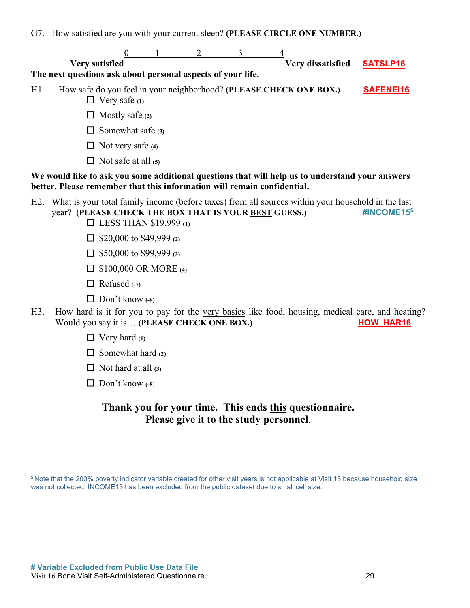G7. How satisfied are you with your current sleep? **(PLEASE CIRCLE ONE NUMBER.)**

|     | Very satisfied                                              |                     |  | <b>Very dissatisfied</b>                                           | <b>SATSLP16</b>  |
|-----|-------------------------------------------------------------|---------------------|--|--------------------------------------------------------------------|------------------|
|     | The next questions ask about personal aspects of your life. |                     |  |                                                                    |                  |
| H1. | $\Box$ Very safe (1)                                        |                     |  | How safe do you feel in your neighborhood? (PLEASE CHECK ONE BOX.) | <b>SAFENEI16</b> |
|     | $\Box$ Mostly safe (2)                                      |                     |  |                                                                    |                  |
|     | $\Box$ Somewhat safe (3)                                    |                     |  |                                                                    |                  |
|     | $\Box$ Not very safe (4)                                    |                     |  |                                                                    |                  |
|     |                                                             | Not safe at all (5) |  |                                                                    |                  |

**We would like to ask you some additional questions that will help us to understand your answers better. Please remember that this information will remain confidential.**

- H2. What is your total family income (before taxes) from all sources within your household in the last year? **(PLEASE CHECK THE BOX THAT IS YOUR BEST GUESS.) #INCOME15\$**
	- LESS THAN \$19,999 **(1)**
	- \$20,000 to \$49,999 **(2)**
	- \$50,000 to \$99,999 **(3)**
	- \$100,000 OR MORE **(4)**
	- $\Box$  Refused  $(-7)$
	- $\Box$  Don't know  $(-8)$
- H3. How hard is it for you to pay for the very basics like food, housing, medical care, and heating? Would you say it is... (PLEASE CHECK ONE BOX.) **HOW HAR16** 
	- $\Box$  Very hard  $(1)$
	- $\Box$  Somewhat hard  $(2)$
	- $\Box$  Not hard at all  $\Box$
	- $\Box$  Don't know  $(-8)$

### **Thank you for your time. This ends this questionnaire. Please give it to the study personnel**.

**\$** Note that the 200% poverty indicator variable created for other visit years is not applicable at Visit 13 because household size was not collected. INCOME13 has been excluded from the public dataset due to small cell size.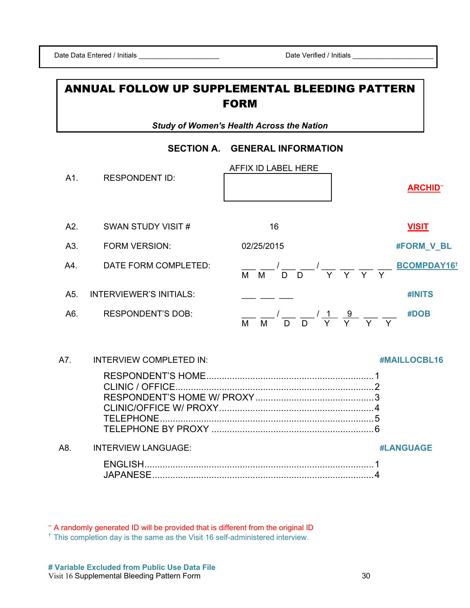## ANNUAL FOLLOW UP SUPPLEMENTAL BLEEDING PATTERN FORM

*Study of Women's Health Across the Nation*

#### **SECTION A. GENERAL INFORMATION**

 AFFIX ID LABEL HERE A1. RESPONDENT ID: **ARCHID**<sup>~</sup> A2. SWAN STUDY VISIT # 16 **VISIT** A3. FORM VERSION: 02/25/2015 **#FORM\_V\_BL** A4. DATE FORM COMPLETED: \_\_\_ \_\_\_ / \_\_\_ \_\_\_ / \_\_\_ \_\_\_ \_\_\_ \_\_\_ **BCOMPDAY16†** M M D D Y Y Y Y A5. INTERVIEWER'S INITIALS: \_\_\_ \_\_\_ \_\_\_ **#INITS** A6. RESPONDENT'S DOB: \_\_\_ \_\_\_ / \_\_\_ \_\_\_ / 1 9 \_\_\_ \_\_\_ **#DOB** M M D D Y Y Y Y

#### A7. INTERVIEW COMPLETED IN: **#MAILLOCBL16**

A8. INTERVIEW LANGUAGE: **#LANGUAGE**

| <b>ENGLISE</b>  |  |
|-----------------|--|
| <b>JAPANESE</b> |  |

<sup>~</sup> A randomly generated ID will be provided that is different from the original ID

**†** This completion day is the same as the Visit 16 self-administered interview.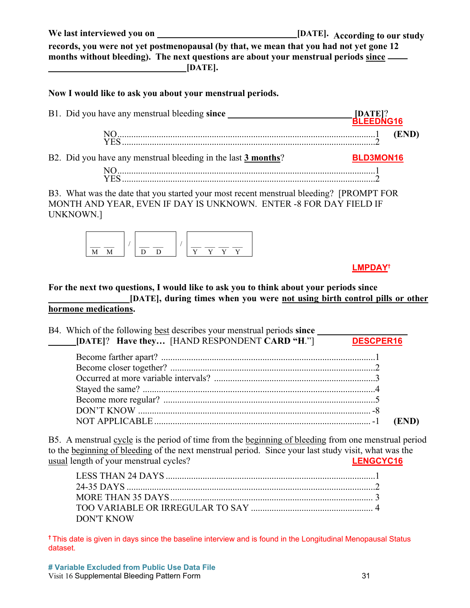**We last interviewed you on [DATE]. According to our study records, you were not yet postmenopausal (by that, we mean that you had not yet gone 12 months without bleeding). The next questions are about your menstrual periods since [DATE].** 

**Now I would like to ask you about your menstrual periods.**

| B1. Did you have any menstrual bleeding since |  |
|-----------------------------------------------|--|
|                                               |  |
|                                               |  |

B2. Did you have any menstrual bleeding in the last **3 months**? **BLD3MON16**

NO................................................................................................................1 YES..............................................................................................................2

B3. What was the date that you started your most recent menstrual bleeding? [PROMPT FOR MONTH AND YEAR, EVEN IF DAY IS UNKNOWN. ENTER -8 FOR DAY FIELD IF UNKNOWN.]



 **LMPDAY†**

#### **For the next two questions, I would like to ask you to think about your periods since \_\_\_\_\_\_\_\_\_\_\_ [DATE], during times when you were not using birth control pills or other hormone medications.**

| B4. Which of the following best describes your menstrual periods since |                  |  |
|------------------------------------------------------------------------|------------------|--|
| [DATE]? Have they [HAND RESPONDENT CARD "H."]                          | <b>DESCPER16</b> |  |
|                                                                        |                  |  |
|                                                                        |                  |  |
|                                                                        |                  |  |
|                                                                        |                  |  |
|                                                                        |                  |  |
|                                                                        |                  |  |
|                                                                        |                  |  |
|                                                                        |                  |  |

B5. A menstrual cycle is the period of time from the beginning of bleeding from one menstrual period to the beginning of bleeding of the next menstrual period. Since your last study visit, what was the usual length of your menstrual cycles? **LENGCYC16** 

| <b>DON'T KNOW</b> |  |
|-------------------|--|

**†** This date is given in days since the baseline interview and is found in the Longitudinal Menopausal Status dataset.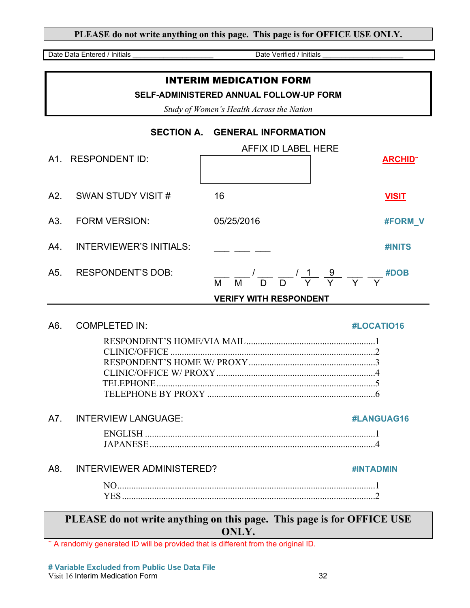#### **PLEASE do not write anything on this page. This page is for OFFICE USE ONLY.**

Date Data Entered / Initials **Data Entered / Initials 2018** Date Verified / Initials **Data Verified / Initials** 2018

#### INTERIM MEDICATION FORM

**SELF-ADMINISTERED ANNUAL FOLLOW-UP FORM**

*Study of Women's Health Across the Nation*

### **SECTION A. GENERAL INFORMATION**

|                  |                                | <b>AFFIX ID LABEL HERE</b>                                    |                           |
|------------------|--------------------------------|---------------------------------------------------------------|---------------------------|
| A1.              | <b>RESPONDENT ID:</b>          |                                                               | <b>ARCHID<sup>~</sup></b> |
| A2.              | SWAN STUDY VISIT#              | 16                                                            | <b>VISIT</b>              |
| A3.              | <b>FORM VERSION:</b>           | 05/25/2016                                                    | #FORM V                   |
| A4.              | <b>INTERVIEWER'S INITIALS:</b> |                                                               | #INITS                    |
| A <sub>5</sub> . | <b>RESPONDENT'S DOB:</b>       | 1 1 9<br>D D Y Y Y<br>M<br>M<br><b>VERIFY WITH RESPONDENT</b> | #DOB<br>$\mathsf{Y}$      |
|                  |                                |                                                               |                           |

### A6. COMPLETED IN: **#LOCATIO16**

## A7. INTERVIEW LANGUAGE: **#LANGUAG16**

| <b>ENGLISH</b>  |  |
|-----------------|--|
| <b>IAPANESE</b> |  |

### A8. INTERVIEWER ADMINISTERED? **#INTADMIN**

### **PLEASE do not write anything on this page. This page is for OFFICE USE ONLY.**

<sup>~</sup> A randomly generated ID will be provided that is different from the original ID.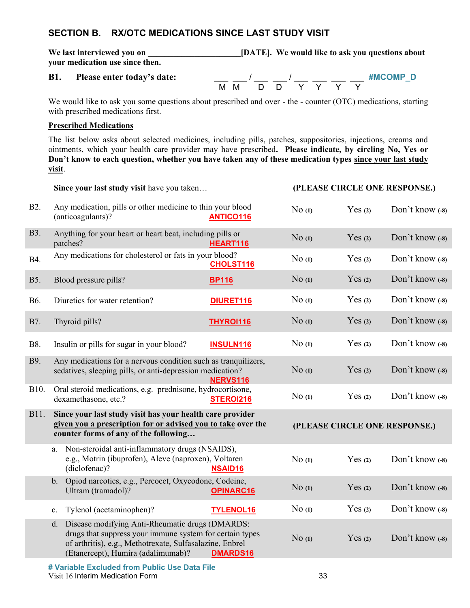### **SECTION B. RX/OTC MEDICATIONS SINCE LAST STUDY VISIT**

#### We last interviewed you on **Table 10 DATE**]. We would like to ask you questions about **your medication use since then.**

#### **B1.** Please enter today's date:

|   |  |  |  | #MCOMP D |
|---|--|--|--|----------|
| M |  |  |  |          |

We would like to ask you some questions about prescribed and over - the - counter (OTC) medications, starting with prescribed medications first.

#### **Prescribed Medications**

The list below asks about selected medicines, including pills, patches, suppositories, injections, creams and ointments, which your health care provider may have prescribed**. Please indicate, by circling No, Yes or Don't know to each question, whether you have taken any of these medication types since your last study visit**.

|            | Since your last study visit have you taken                                                                                                                                                                          | (PLEASE CIRCLE ONE RESPONSE.) |                               |           |                   |
|------------|---------------------------------------------------------------------------------------------------------------------------------------------------------------------------------------------------------------------|-------------------------------|-------------------------------|-----------|-------------------|
| <b>B2.</b> | Any medication, pills or other medicine to thin your blood<br>(anticoagulants)?                                                                                                                                     | <b>ANTICO116</b>              | No(1)                         | Yes $(2)$ | Don't know (-8)   |
| B3.        | Anything for your heart or heart beat, including pills or<br>patches?                                                                                                                                               | HEART116                      | No(1)                         | Yes $(2)$ | Don't know (-8)   |
| <b>B4.</b> | Any medications for cholesterol or fats in your blood?                                                                                                                                                              | CHOLST116                     | No(1)                         | Yes $(2)$ | Don't know (-8)   |
| <b>B5.</b> | Blood pressure pills?                                                                                                                                                                                               | <b>BP116</b>                  | No(1)                         | Yes $(2)$ | Don't know (-8)   |
| B6.        | Diuretics for water retention?                                                                                                                                                                                      | DIURET116                     | No(1)                         | Yes $(2)$ | Don't know $(-8)$ |
| B7.        | Thyroid pills?                                                                                                                                                                                                      | <b>THYROI116</b>              | No(1)                         | Yes $(2)$ | Don't know (-8)   |
| <b>B8.</b> | Insulin or pills for sugar in your blood?                                                                                                                                                                           | <b>INSULN116</b>              | No(1)                         | Yes $(2)$ | Don't know (-8)   |
| B9.        | Any medications for a nervous condition such as tranquilizers,<br>sedatives, sleeping pills, or anti-depression medication?                                                                                         | NERVS116                      | No(1)                         | Yes $(2)$ | Don't know (-8)   |
| B10.       | Oral steroid medications, e.g. prednisone, hydrocortisone,<br>dexamethasone, etc.?                                                                                                                                  | <b>STEROI216</b>              | No(1)                         | Yes $(2)$ | Don't know $(-8)$ |
| B11.       | Since your last study visit has your health care provider<br>given you a prescription for or advised you to take over the<br>counter forms of any of the following                                                  |                               | (PLEASE CIRCLE ONE RESPONSE.) |           |                   |
|            | Non-steroidal anti-inflammatory drugs (NSAIDS),<br>a.<br>e.g., Motrin (ibuprofen), Aleve (naproxen), Voltaren<br>(diclofenac)?                                                                                      | <b>NSAID16</b>                | No(1)                         | Yes $(2)$ | Don't know (-8)   |
|            | Opiod narcotics, e.g., Percocet, Oxycodone, Codeine,<br>b.<br>Ultram (tramadol)?                                                                                                                                    | OPINARC16                     | No(1)                         | Yes $(2)$ | Don't know (-8)   |
|            | Tylenol (acetaminophen)?<br>$\mathbf{c}$ .                                                                                                                                                                          | <b>TYLENOL16</b>              | No(1)                         | Yes $(2)$ | Don't know (-8)   |
|            | Disease modifying Anti-Rheumatic drugs (DMARDS:<br>d.<br>drugs that suppress your immune system for certain types<br>of arthritis), e.g., Methotrexate, Sulfasalazine, Enbrel<br>(Etanercept), Humira (adalimumab)? | <b>DMARDS16</b>               | No(1)                         | Yes $(2)$ | Don't know (-8)   |
|            | # Variable Excluded from Public Use Data File                                                                                                                                                                       |                               |                               |           |                   |

Visit 16 Interim Medication Form 33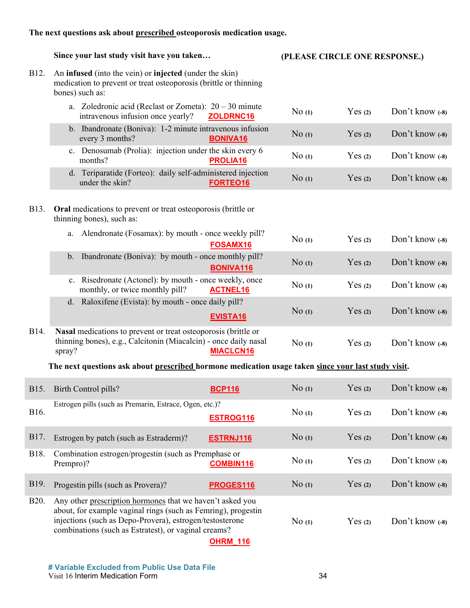#### **The next questions ask about prescribed osteoporosis medication usage.**

### B12. An **infused** (into the vein) or **injected** (under the skin) medication to prevent or treat osteoporosis (brittle or thinning bones) such as: a. Zoledronic acid (Reclast or Zometa):  $20 - 30$  minute intravenous infusion once yearly? **ZOLDRNC16** No **(1)** Yes **(2)** Don't know **(-8)** b. Ibandronate (Boniva): 1-2 minute intravenous infusion every 3 months?<br>**BONIVA16** No (1) Yes (2) Don't know (-8) c. Denosumab (Prolia): injection under the skin every 6 <br>months? **PROLIA16** No (1) Yes (2) Don't know (-8) d. Teriparatide (Forteo): daily self-administered injection  $\frac{FORTEO16}{PORTEO16}$  No (1) Yes (2) Don't know (-8) B13. **Oral** medications to prevent or treat osteoporosis (brittle or thinning bones), such as: a. Alendronate (Fosamax): by mouth - once weekly pill? FOSANX16 No (1)  $Y$ es (2) Don't know (-8) b. Ibandronate (Boniva): by mouth - once monthly pill? **BONIVA116** No (1) No (2) Don't know (-8) c. Risedronate (Actonel): by mouth - once weekly, once monthly, or twice monthly pill?<br>**ACTNEL16** No (1) Yes (2) Don't know (-8) d. Raloxifene (Evista): by mouth - once daily pill? **EVISTA16** No **(1)** Yes **(2)** Don't know **(-8)** B14. **Nasal** medications to prevent or treat osteoporosis (brittle or thinning bones), e.g., Calcitonin (Miacalcin) - once daily nasal No **(1)** Yes **(2)** Don't know **(-8)**

#### **The next questions ask about prescribed hormone medication usage taken since your last study visit.**

| B <sub>15</sub> . | Birth Control pills?                                                                                                                                                                                                                           | <b>BCP116</b>    | No(1) | Yes(2) | Don't know $(-8)$ |
|-------------------|------------------------------------------------------------------------------------------------------------------------------------------------------------------------------------------------------------------------------------------------|------------------|-------|--------|-------------------|
| B16.              | Estrogen pills (such as Premarin, Estrace, Ogen, etc.)?                                                                                                                                                                                        | ESTROG116        | No(1) | Yes(2) | Don't know $(-8)$ |
| B17.              | Estrogen by patch (such as Estraderm)?                                                                                                                                                                                                         | ESTRNJ116        | No(1) | Yes(2) | Don't know $(-8)$ |
| B18.              | Combination estrogen/progestin (such as Premphase or<br>Prempro)?                                                                                                                                                                              | <b>COMBIN116</b> | No(1) | Yes(2) | Don't know $(-8)$ |
| B <sub>19</sub> . | Progestin pills (such as Provera)?                                                                                                                                                                                                             | PROGES116        | No(1) | Yes(2) | Don't know $(-8)$ |
| <b>B20.</b>       | Any other prescription hormones that we haven't asked you<br>about, for example vaginal rings (such as Femring), progestin<br>injections (such as Depo-Provera), estrogen/testosterone<br>combinations (such as Estratest), or vaginal creams? | <b>OHRM 116</b>  | No(1) | Yes(2) | Don't know $(-8)$ |

spray? **MIACLCN16** 

#### **Since your last study visit have you taken… (PLEASE CIRCLE ONE RESPONSE.)**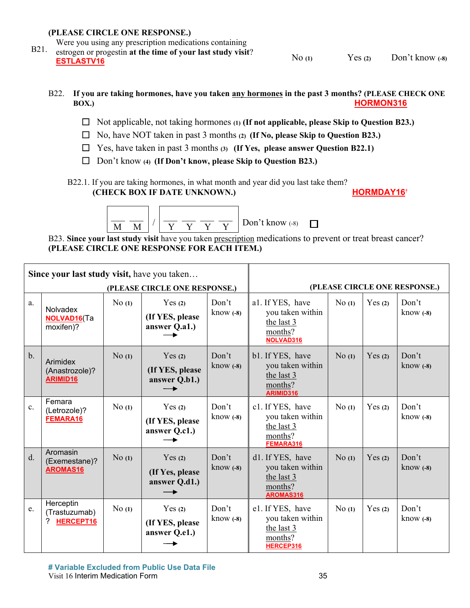#### **(PLEASE CIRCLE ONE RESPONSE.)**

Were you using any prescription medications containing

B21. estrogen or progestin **at the time of your last study visit**? **ESTLASTV16** No **(1)** Yes **(2)** Don't know **(-8)**

#### B22. **If you are taking hormones, have you taken any hormones in the past 3 months? (PLEASE CHECK ONE BOX.) HORMON316**

- Not applicable, not taking hormones **(1) (If not applicable, please Skip to Question B23.)**
- No, have NOT taken in past 3 months **(2) (If No, please Skip to Question B23.)**
- Yes, have taken in past 3 months **(3) (If Yes, please answer Question B22.1)**
- Don't know **(4) (If Don't know, please Skip to Question B23.)**
- B22.1. If you are taking hormones, in what month and year did you last take them?  **(CHECK BOX IF DATE UNKNOWN.) HORMDAY16†**

$$
\begin{array}{c|c|c|c|c|c|c|c} \hline \hline \textbf{M} & \textbf{M} & \textbf{M} & \textbf{M} & \textbf{M} & \textbf{M} & \textbf{M} & \textbf{M} & \textbf{M} \\\hline \hline \textbf{M} & \textbf{M} & \textbf{M} & \textbf{M} & \textbf{M} & \textbf{M} & \textbf{M} & \textbf{M} & \textbf{M} & \textbf{M} & \textbf{M} & \textbf{M} & \textbf{M} & \textbf{M} & \textbf{M} & \textbf{M} & \textbf{M} & \textbf{M} & \textbf{M} & \textbf{M} & \textbf{M} & \textbf{M} & \textbf{M} & \textbf{M} & \textbf{M} & \textbf{M} & \textbf{M} & \textbf{M} & \textbf{M} & \textbf{M} & \textbf{M} & \textbf{M} & \textbf{M} & \textbf{M} & \textbf{M} & \textbf{M} & \textbf{M} & \textbf{M} & \textbf{M} & \textbf{M} & \textbf{M} & \textbf{M} & \textbf{M} & \textbf{M} & \textbf{M} & \textbf{M} & \textbf{M} & \textbf{M} & \textbf{M} & \textbf{M} & \textbf{M} & \textbf{M} & \textbf{M} & \textbf{M} & \textbf{M} & \textbf{M} & \textbf{M} & \textbf{M} & \textbf{M} & \textbf{M} & \textbf{M} & \textbf{M} & \textbf{M} & \textbf{M} & \textbf{M} & \textbf{M} & \textbf{M} & \textbf{M} & \textbf{M} & \textbf{M} & \textbf{M} & \textbf{M} & \textbf{M} & \textbf{M} & \textbf{M} & \textbf{M} & \textbf{M} & \textbf{M} & \textbf{M} & \textbf{M} & \textbf{M} & \textbf{M} & \textbf{M} & \textbf{M} & \textbf{M} & \textbf{M} & \textbf{M} & \textbf{M} & \textbf{M} & \textbf{M} & \textbf{M} & \textbf{M} & \textbf{M} & \textbf{M} & \textbf{M}
$$

B23. **Since your last study visit** have you taken prescription medications to prevent or treat breast cancer? **(PLEASE CIRCLE ONE RESPONSE FOR EACH ITEM.)**

| Since your last study visit, have you taken |                                                          |       |                                                |                      |                                                                                     |       |           |                      |
|---------------------------------------------|----------------------------------------------------------|-------|------------------------------------------------|----------------------|-------------------------------------------------------------------------------------|-------|-----------|----------------------|
| (PLEASE CIRCLE ONE RESPONSE.)               |                                                          |       | (PLEASE CIRCLE ONE RESPONSE.)                  |                      |                                                                                     |       |           |                      |
| a.                                          | <b>Nolvadex</b><br>NOLVAD <sub>16</sub> (Ta<br>moxifen)? | No(1) | Yes $(2)$<br>(If YES, please<br>answer Q.a1.)  | Don't<br>know $(-8)$ | al. If YES, have<br>you taken within<br>the last 3<br>months?<br><b>NOLVAD316</b>   | No(1) | Yes $(2)$ | Don't<br>$know( -8)$ |
| $\mathbf{b}$ .                              | Arimidex<br>(Anastrozole)?<br><b>ARIMID16</b>            | No(1) | Yes $(2)$<br>(If YES, please<br>answer Q.b1.)  | Don't<br>know $(-8)$ | b1. If YES, have<br>you taken within<br>the last 3<br>months?<br>ARIMID316          | No(1) | Yes $(2)$ | Don't<br>know $(-8)$ |
| $\mathbf{c}$ .                              | Femara<br>(Letrozole)?<br><b>FEMARA16</b>                | No(1) | Yes(2)<br>(If YES, please<br>answer Q.c1.)     | Don't<br>know $(-8)$ | c1. If YES, have<br>you taken within<br>the last $3$<br>months?<br>FEMARA316        | No(1) | Yes $(2)$ | Don't<br>$know( -8)$ |
| d.                                          | Aromasin<br>(Exemestane)?<br><b>AROMAS16</b>             | No(1) | Yes $(2)$<br>(If Yes, please)<br>answer Q.d1.) | Don't<br>know $(-8)$ | d1. If YES, have<br>you taken within<br>the last $3$<br>months?<br><b>AROMAS316</b> | No(1) | Yes $(2)$ | Don't<br>know $(-8)$ |
| e.                                          | Herceptin<br>(Trastuzumab)<br>?<br>HERCEPT16             | No(1) | Yes $(2)$<br>(If YES, please<br>answer Q.e1.)  | Don't<br>know $(-8)$ | el. If YES, have<br>you taken within<br>the last 3<br>months?<br>HERCEP316          | No(1) | Yes $(2)$ | Don't<br>$know( -8)$ |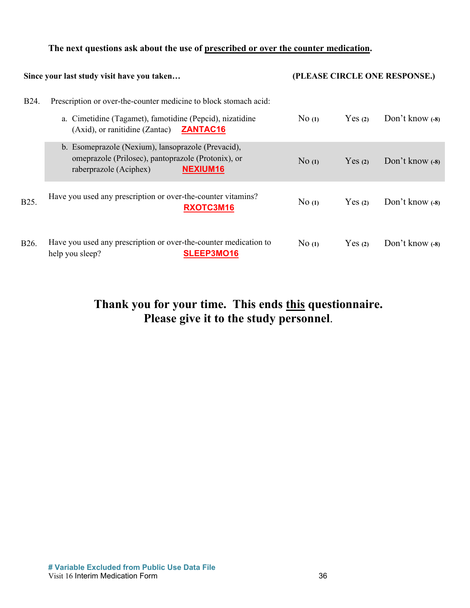**The next questions ask about the use of prescribed or over the counter medication.**

|                   | Since your last study visit have you taken                                                                                                     | (PLEASE CIRCLE ONE RESPONSE.) |        |                   |
|-------------------|------------------------------------------------------------------------------------------------------------------------------------------------|-------------------------------|--------|-------------------|
| B <sub>24</sub> . | Prescription or over-the-counter medicine to block stomach acid:                                                                               |                               |        |                   |
|                   | a. Cimetidine (Tagamet), famotidine (Pepcid), nizatidine<br>$(Axid)$ , or ranitidine $(Zantac)$<br><b>ZANTAC16</b>                             | No(1)                         | Yes(2) | Don't know $(-8)$ |
|                   | b. Esomeprazole (Nexium), lansoprazole (Prevacid),<br>omeprazole (Prilosec), pantoprazole (Protonix), or<br>NEXIUM16<br>raberprazole (Aciphex) | No(1)                         | Yes(2) | Don't know $(-8)$ |
| B25.              | Have you used any prescription or over-the-counter vitamins?<br>RXOTC3M16                                                                      | No(1)                         | Yes(2) | Don't know $(-8)$ |
| B26.              | Have you used any prescription or over-the-counter medication to<br>SLEEP3MO16<br>help you sleep?                                              | No(1)                         | Yes(2) | Don't know $(-8)$ |

## **Thank you for your time. This ends this questionnaire. Please give it to the study personnel**.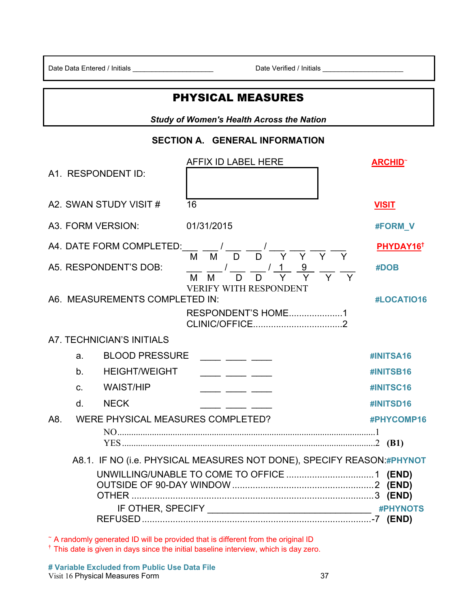Date Data Entered / Initials \_\_\_\_\_\_\_\_\_\_\_\_\_\_\_\_\_\_\_\_\_ Date Verified / Initials \_\_\_\_\_\_\_\_\_\_\_\_\_\_\_\_\_\_\_\_\_

### PHYSICAL MEASURES

*Study of Women's Health Across the Nation*

#### **SECTION A. GENERAL INFORMATION**

|                                          | AFFIX ID LABEL HERE                                                                                                                              | <b>ARCHID<sup>~</sup></b> |
|------------------------------------------|--------------------------------------------------------------------------------------------------------------------------------------------------|---------------------------|
| A1. RESPONDENT ID:                       |                                                                                                                                                  |                           |
| A2. SWAN STUDY VISIT #                   | 16                                                                                                                                               | <b>VISIT</b>              |
| A3. FORM VERSION:                        | 01/31/2015                                                                                                                                       | #FORM_V                   |
|                                          | A4. DATE FORM COMPLETED: $\frac{1}{M} - \frac{1}{M}$ $\frac{1}{D} - \frac{1}{D}$ $\frac{1}{N} - \frac{1}{Y}$ $\frac{1}{Y} - \frac{1}{Y}$         | PHYDAY16 <sup>+</sup>     |
| A5. RESPONDENT'S DOB:                    | $\frac{1}{M}$ $\frac{1}{M}$ $\frac{1}{D}$ $\frac{1}{D}$ $\frac{1}{Y}$ $\frac{9}{Y}$ $\frac{9}{Y}$ $\frac{9}{Y}$<br><b>VERIFY WITH RESPONDENT</b> | #DOB                      |
| A6. MEASUREMENTS COMPLETED IN:           |                                                                                                                                                  | #LOCATIO16                |
|                                          | RESPONDENT'S HOME1                                                                                                                               |                           |
| <b>A7. TECHNICIAN'S INITIALS</b>         |                                                                                                                                                  |                           |
| <b>BLOOD PRESSURE</b><br>a.              |                                                                                                                                                  | #INITSA16                 |
| <b>HEIGHT/WEIGHT</b><br>b <sub>1</sub>   |                                                                                                                                                  | #INITSB16                 |
| <b>WAIST/HIP</b><br>$C_{-}$              |                                                                                                                                                  | #INITSC16                 |
| <b>NECK</b><br>$\mathsf{d}$ .            |                                                                                                                                                  | #INITSD16                 |
| WERE PHYSICAL MEASURES COMPLETED?<br>A8. |                                                                                                                                                  | #PHYCOMP16                |
|                                          |                                                                                                                                                  |                           |
|                                          | A8.1. IF NO (i.e. PHYSICAL MEASURES NOT DONE), SPECIFY REASON: #PHYNOT                                                                           |                           |
|                                          |                                                                                                                                                  |                           |
|                                          |                                                                                                                                                  |                           |

<sup>~</sup> A randomly generated ID will be provided that is different from the original ID

**†** This date is given in days since the initial baseline interview, which is day zero.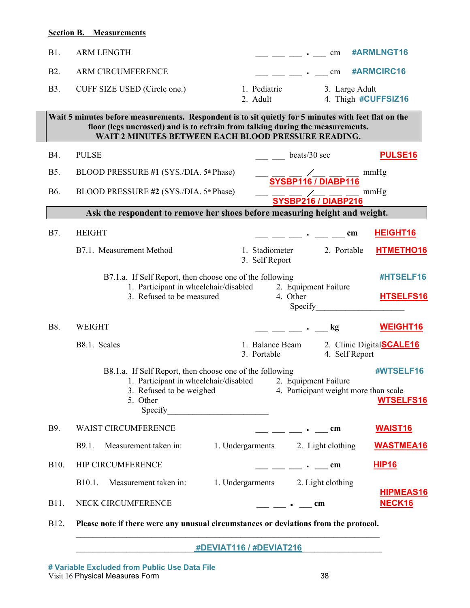#### **Section B. Measurements**

| B1.         | <b>ARM LENGTH</b>                                                                                                                         | #ARMLNGT16<br>cm<br>$\overline{a}$ and $\overline{a}$ and $\overline{a}$ and $\overline{a}$                                                                                                                                                                                                                                                                                                                                                          |
|-------------|-------------------------------------------------------------------------------------------------------------------------------------------|------------------------------------------------------------------------------------------------------------------------------------------------------------------------------------------------------------------------------------------------------------------------------------------------------------------------------------------------------------------------------------------------------------------------------------------------------|
| <b>B2.</b>  | <b>ARM CIRCUMFERENCE</b>                                                                                                                  | #ARMCIRC16<br>cm<br>$   \cdot$                                                                                                                                                                                                                                                                                                                                                                                                                       |
| <b>B</b> 3. | CUFF SIZE USED (Circle one.)                                                                                                              | 1. Pediatric<br>3. Large Adult<br>4. Thigh #CUFFSIZ16<br>2. Adult                                                                                                                                                                                                                                                                                                                                                                                    |
|             | floor (legs uncrossed) and is to refrain from talking during the measurements.<br>WAIT 2 MINUTES BETWEEN EACH BLOOD PRESSURE READING.     | Wait 5 minutes before measurements. Respondent is to sit quietly for 5 minutes with feet flat on the                                                                                                                                                                                                                                                                                                                                                 |
| B4.         | <b>PULSE</b>                                                                                                                              | PULSE <sub>16</sub><br>$\frac{1}{\sqrt{2}}$ beats/30 sec                                                                                                                                                                                                                                                                                                                                                                                             |
| <b>B5.</b>  | BLOOD PRESSURE #1 (SYS./DIA. 5th Phase)                                                                                                   | mmHg<br><b>SYSBP116 / DIABP116</b>                                                                                                                                                                                                                                                                                                                                                                                                                   |
| <b>B6.</b>  | BLOOD PRESSURE #2 (SYS./DIA. 5th Phase)                                                                                                   | mmHg<br>SYSBP216 / DIABP216                                                                                                                                                                                                                                                                                                                                                                                                                          |
|             |                                                                                                                                           | Ask the respondent to remove her shoes before measuring height and weight.                                                                                                                                                                                                                                                                                                                                                                           |
| <b>B7.</b>  | <b>HEIGHT</b>                                                                                                                             | HEIGHT16<br>$- - \cdot - -$ cm                                                                                                                                                                                                                                                                                                                                                                                                                       |
|             | B7.1. Measurement Method                                                                                                                  | HTMETHO16<br>1. Stadiometer<br>2. Portable<br>3. Self Report                                                                                                                                                                                                                                                                                                                                                                                         |
|             | B7.1.a. If Self Report, then choose one of the following<br>1. Participant in wheelchair/disabled<br>3. Refused to be measured            | #HTSELF16<br>2. Equipment Failure<br>4. Other<br>HTSELFS16<br>Specify <sub>_____</sub>                                                                                                                                                                                                                                                                                                                                                               |
| <b>B8.</b>  | <b>WEIGHT</b>                                                                                                                             | WEIGHT16<br>$\frac{1}{\sqrt{2}}$ $\frac{1}{\sqrt{2}}$ $\frac{1}{\sqrt{2}}$ $\frac{1}{\sqrt{2}}$ $\frac{1}{\sqrt{2}}$ $\frac{1}{\sqrt{2}}$ $\frac{1}{\sqrt{2}}$ $\frac{1}{\sqrt{2}}$ $\frac{1}{\sqrt{2}}$ $\frac{1}{\sqrt{2}}$ $\frac{1}{\sqrt{2}}$ $\frac{1}{\sqrt{2}}$ $\frac{1}{\sqrt{2}}$ $\frac{1}{\sqrt{2}}$ $\frac{1}{\sqrt{2}}$ $\frac{1}{\sqrt{2}}$ $\frac{1}{\sqrt{2}}$                                                                     |
|             | B8.1. Scales                                                                                                                              | 1. Balance Beam 2. Clinic Digital <b>SCALE16</b><br>3. Portable<br>4. Self Report                                                                                                                                                                                                                                                                                                                                                                    |
|             | B8.1.a. If Self Report, then choose one of the following<br>1. Participant in wheelchair/disabled<br>3. Refused to be weighed<br>5. Other | #WTSELF16<br>2. Equipment Failure<br>4. Participant weight more than scale<br><b>WTSELFS16</b>                                                                                                                                                                                                                                                                                                                                                       |
| B9.         | <b>WAIST CIRCUMFERENCE</b>                                                                                                                | <b>WAIST16</b><br>$\frac{1}{1}$ $\frac{1}{1}$ $\frac{1}{1}$ $\frac{1}{1}$ $\frac{1}{1}$ $\frac{1}{1}$ $\frac{1}{1}$ $\frac{1}{1}$ $\frac{1}{1}$ $\frac{1}{1}$ $\frac{1}{1}$ $\frac{1}{1}$ $\frac{1}{1}$ $\frac{1}{1}$ $\frac{1}{1}$ $\frac{1}{1}$ $\frac{1}{1}$ $\frac{1}{1}$ $\frac{1}{1}$ $\frac{1}{1}$ $\frac{1}{1}$ $\frac{1}{1}$                                                                                                                |
|             | B9.1.<br>Measurement taken in:                                                                                                            | 1. Undergarments 2. Light clothing<br><b>WASTMEA16</b>                                                                                                                                                                                                                                                                                                                                                                                               |
| B10.        | HIP CIRCUMFERENCE                                                                                                                         | <b>HIP16</b><br>$\frac{1}{1}$ = $\frac{1}{1}$ = $\frac{1}{1}$ = $\frac{1}{1}$ = $\frac{1}{1}$ = $\frac{1}{1}$ = $\frac{1}{1}$ = $\frac{1}{1}$ = $\frac{1}{1}$ = $\frac{1}{1}$ = $\frac{1}{1}$ = $\frac{1}{1}$ = $\frac{1}{1}$ = $\frac{1}{1}$ = $\frac{1}{1}$ = $\frac{1}{1}$ = $\frac{1}{1}$ = $\frac{1}{1}$ = $\frac{1$                                                                                                                            |
| B11.        | B10.1.<br>Measurement taken in:<br>NECK CIRCUMFERENCE                                                                                     | 1. Undergarments 2. Light clothing<br><b>HIPMEAS16</b><br>NECK <sub>16</sub><br>$\frac{1}{\sqrt{2}}$ $\frac{1}{\sqrt{2}}$ $\frac{1}{\sqrt{2}}$ $\frac{1}{\sqrt{2}}$ $\frac{1}{\sqrt{2}}$ $\frac{1}{\sqrt{2}}$ $\frac{1}{\sqrt{2}}$ $\frac{1}{\sqrt{2}}$ $\frac{1}{\sqrt{2}}$ $\frac{1}{\sqrt{2}}$ $\frac{1}{\sqrt{2}}$ $\frac{1}{\sqrt{2}}$ $\frac{1}{\sqrt{2}}$ $\frac{1}{\sqrt{2}}$ $\frac{1}{\sqrt{2}}$ $\frac{1}{\sqrt{2}}$ $\frac{1}{\sqrt{2}}$ |
| B12.        | Please note if there were any unusual circumstances or deviations from the protocol.                                                      |                                                                                                                                                                                                                                                                                                                                                                                                                                                      |

 $\mathcal{L}_\text{max} = \frac{1}{2} \sum_{i=1}^n \mathcal{L}_\text{max}(\mathbf{x}_i - \mathbf{y}_i)$ \_\_\_\_\_\_\_\_\_\_\_\_\_\_\_\_\_\_\_\_\_\_\_\_\_\_\_\_ **#DEVIAT116 / #DEVIAT216**\_\_\_\_\_\_\_\_\_\_\_\_\_\_\_\_\_\_\_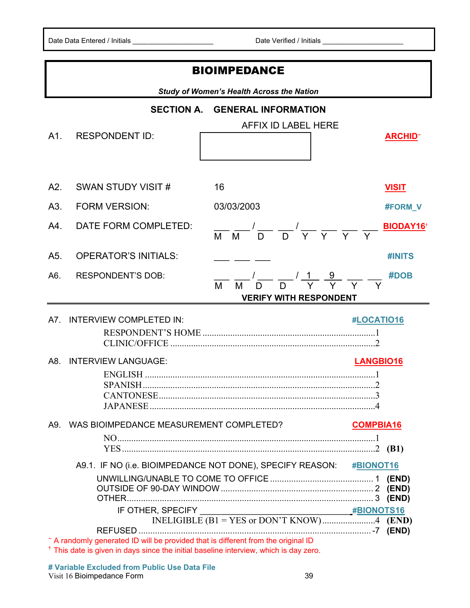Date Data Entered / Initials \_\_\_\_\_\_\_\_\_\_\_\_\_\_\_\_\_\_\_\_\_ Date Verified / Initials \_\_\_\_\_\_\_\_\_\_\_\_\_\_\_\_\_\_\_\_\_

### BIOIMPEDANCE

*Study of Women's Health Across the Nation*

|                  |                                                                                                        | SECTION A. GENERAL INFORMATION                                                                                                                   |                             |
|------------------|--------------------------------------------------------------------------------------------------------|--------------------------------------------------------------------------------------------------------------------------------------------------|-----------------------------|
| A1.              | <b>RESPONDENT ID:</b>                                                                                  | AFFIX ID LABEL HERE                                                                                                                              | <b>ARCHID<sup>~</sup></b>   |
| A2.              | SWAN STUDY VISIT#                                                                                      | 16                                                                                                                                               | <b>VISIT</b>                |
| A3.              | <b>FORM VERSION:</b>                                                                                   | 03/03/2003                                                                                                                                       | #FORM_V                     |
| A4.              | DATE FORM COMPLETED:                                                                                   | $\frac{1}{M} \frac{1}{M} \frac{1}{N} \frac{1}{D} \frac{1}{D} \frac{1}{Y} \frac{1}{Y} \frac{1}{Y} \frac{1}{Y} \frac{1}{Y}$                        | <b>BIODAY16<sup>†</sup></b> |
| A <sub>5</sub> . | <b>OPERATOR'S INITIALS:</b>                                                                            |                                                                                                                                                  | #INITS                      |
| A6.              | <b>RESPONDENT'S DOB:</b>                                                                               | $\frac{1}{M}$ $\frac{1}{M}$ $\frac{1}{D}$ $\frac{1}{D}$ $\frac{1}{Y}$ $\frac{9}{Y}$ $\frac{1}{Y}$ $\frac{9}{Y}$<br><b>VERIFY WITH RESPONDENT</b> | #DOB                        |
|                  | A7. INTERVIEW COMPLETED IN:                                                                            |                                                                                                                                                  | #LOCATIO16                  |
|                  | A8. INTERVIEW LANGUAGE:                                                                                |                                                                                                                                                  | <b>LANGBIO16</b>            |
| A9.              | WAS BIOIMPEDANCE MEASUREMENT COMPLETED?                                                                |                                                                                                                                                  | <b>COMPBIA16</b>            |
|                  |                                                                                                        | A9.1. IF NO (i.e. BIOIMPEDANCE NOT DONE), SPECIFY REASON: #BIONOT16                                                                              |                             |
|                  | IF OTHER, SPECIFY<br>~ A randomly generated ID will be provided that is different from the original ID | R, SPECIFY $\frac{\# \text{BIONOTS16}}{\text{INELIGIBLE (B1 = YES or DON'T KNOW)}.4 \quad \text{(END)}}$                                         |                             |

**†** This date is given in days since the initial baseline interview, which is day zero.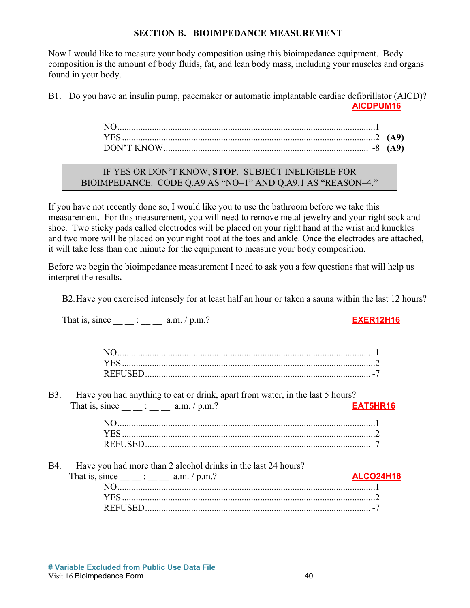#### **SECTION B. BIOIMPEDANCE MEASUREMENT**

Now I would like to measure your body composition using this bioimpedance equipment. Body composition is the amount of body fluids, fat, and lean body mass, including your muscles and organs found in your body.

B1. Do you have an insulin pump, pacemaker or automatic implantable cardiac defibrillator (AICD)? **AICDPUM16**

#### IF YES OR DON'T KNOW, **STOP**. SUBJECT INELIGIBLE FOR BIOIMPEDANCE. CODE Q.A9 AS "NO=1" AND Q.A9.1 AS "REASON=4."

If you have not recently done so, I would like you to use the bathroom before we take this measurement. For this measurement, you will need to remove metal jewelry and your right sock and shoe. Two sticky pads called electrodes will be placed on your right hand at the wrist and knuckles and two more will be placed on your right foot at the toes and ankle. Once the electrodes are attached, it will take less than one minute for the equipment to measure your body composition.

Before we begin the bioimpedance measurement I need to ask you a few questions that will help us interpret the results**.**

B2.Have you exercised intensely for at least half an hour or taken a sauna within the last 12 hours?

That is, since  $\underline{\qquad \qquad }$  :  $\underline{\qquad \qquad }$  a.m. / p.m.? **EXER12H16** 

| REFUSED. |  |
|----------|--|

#### B3. Have you had anything to eat or drink, apart from water, in the last 5 hours? That is, since  $\underline{\qquad \qquad }$  :  $\underline{\qquad \qquad }$  a.m. / p.m.?

| YES             |  |
|-----------------|--|
| <b>REFLISED</b> |  |

| B4. Have you had more than 2 alcohol drinks in the last 24 hours? |  |           |
|-------------------------------------------------------------------|--|-----------|
| That is, since $\qquad \qquad$ : $\qquad$ a.m. / p.m.?            |  | ALCO24H16 |
|                                                                   |  |           |
| YFS                                                               |  |           |
|                                                                   |  |           |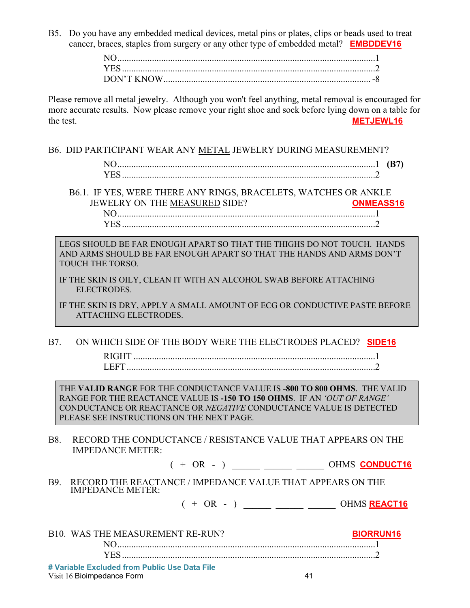B5. Do you have any embedded medical devices, metal pins or plates, clips or beads used to treat cancer, braces, staples from surgery or any other type of embedded metal? **EMBDDEV16**

Please remove all metal jewelry. Although you won't feel anything, metal removal is encouraged for more accurate results. Now please remove your right shoe and sock before lying down on a table for the test. **METJEWL16**

#### B6. DID PARTICIPANT WEAR ANY METAL JEWELRY DURING MEASUREMENT?

- NO................................................................................................................1 **(B7)** YES..............................................................................................................2
- B6.1. IF YES, WERE THERE ANY RINGS, BRACELETS, WATCHES OR ANKLE JEWELRY ON THE MEASURED SIDE? **ONMEASS16** NO................................................................................................................1

YES..............................................................................................................2

LEGS SHOULD BE FAR ENOUGH APART SO THAT THE THIGHS DO NOT TOUCH. HANDS AND ARMS SHOULD BE FAR ENOUGH APART SO THAT THE HANDS AND ARMS DON'T TOUCH THE TORSO.

IF THE SKIN IS OILY, CLEAN IT WITH AN ALCOHOL SWAB BEFORE ATTACHING ELECTRODES.

IF THE SKIN IS DRY, APPLY A SMALL AMOUNT OF ECG OR CONDUCTIVE PASTE BEFORE ATTACHING ELECTRODES.

#### B7. ON WHICH SIDE OF THE BODY WERE THE ELECTRODES PLACED? **SIDE16**

RIGHT .........................................................................................................1 LEFT............................................................................................................2

THE **VALID RANGE** FOR THE CONDUCTANCE VALUE IS **-800 TO 800 OHMS**. THE VALID RANGE FOR THE REACTANCE VALUE IS **-150 TO 150 OHMS**. IF AN *'OUT OF RANGE'* CONDUCTANCE OR REACTANCE OR *NEGATIVE* CONDUCTANCE VALUE IS DETECTED PLEASE SEE INSTRUCTIONS ON THE NEXT PAGE.

#### B8. RECORD THE CONDUCTANCE / RESISTANCE VALUE THAT APPEARS ON THE IMPEDANCE METER:

 $( + OR - )$  \_\_\_\_\_\_ \_\_\_\_\_\_ OHMS CONDUCT16

B9. RECORD THE REACTANCE / IMPEDANCE VALUE THAT APPEARS ON THE IMPEDANCE METER:

 $( + OR - )$  \_\_\_\_\_ \_\_\_\_\_ OHMS **REACT16** 

| B10. WAS THE MEASUREMENT RE-RUN?              | <b>BIORRUN16</b> |
|-----------------------------------------------|------------------|
|                                               |                  |
| <u>YES ………………………………………………………………………………………</u>  |                  |
| # Variable Excluded from Public Use Data File |                  |
| Visit 16 Bioimpedance Form                    |                  |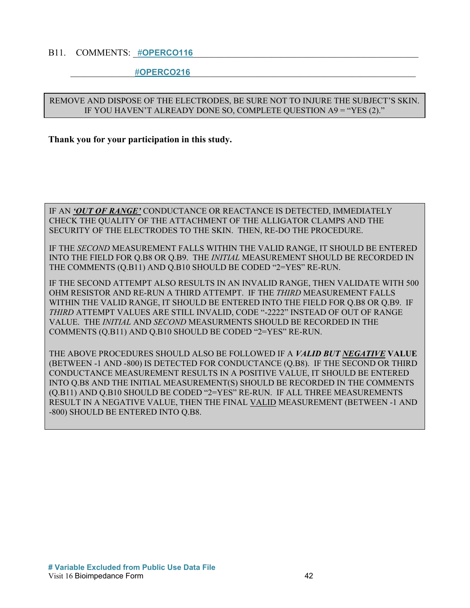#### B11. COMMENTS: #**OPERCO116**

#### \_\_\_\_\_\_\_\_\_\_\_\_\_\_**#OPERCO216**\_\_\_\_\_\_\_\_\_\_\_\_\_\_\_\_\_\_\_\_\_\_\_\_\_\_\_\_\_\_\_\_\_\_\_\_\_\_\_\_\_\_\_\_\_\_\_\_\_

#### REMOVE AND DISPOSE OF THE ELECTRODES, BE SURE NOT TO INJURE THE SUBJECT'S SKIN. IF YOU HAVEN'T ALREADY DONE SO, COMPLETE QUESTION A9 = "YES (2)."

**Thank you for your participation in this study.**

IF AN *'OUT OF RANGE'* CONDUCTANCE OR REACTANCE IS DETECTED, IMMEDIATELY CHECK THE QUALITY OF THE ATTACHMENT OF THE ALLIGATOR CLAMPS AND THE SECURITY OF THE ELECTRODES TO THE SKIN. THEN, RE-DO THE PROCEDURE.

IF THE *SECOND* MEASUREMENT FALLS WITHIN THE VALID RANGE, IT SHOULD BE ENTERED INTO THE FIELD FOR Q.B8 OR Q.B9. THE *INITIAL* MEASUREMENT SHOULD BE RECORDED IN THE COMMENTS (Q.B11) AND Q.B10 SHOULD BE CODED "2=YES" RE-RUN.

IF THE SECOND ATTEMPT ALSO RESULTS IN AN INVALID RANGE, THEN VALIDATE WITH 500 OHM RESISTOR AND RE-RUN A THIRD ATTEMPT. IF THE *THIRD* MEASUREMENT FALLS WITHIN THE VALID RANGE, IT SHOULD BE ENTERED INTO THE FIELD FOR Q.B8 OR Q.B9. IF *THIRD* ATTEMPT VALUES ARE STILL INVALID, CODE "-2222" INSTEAD OF OUT OF RANGE VALUE. THE *INITIAL* AND *SECOND* MEASURMENTS SHOULD BE RECORDED IN THE COMMENTS (Q.B11) AND Q.B10 SHOULD BE CODED "2=YES" RE-RUN.

THE ABOVE PROCEDURES SHOULD ALSO BE FOLLOWED IF A *VALID BUT NEGATIVE* **VALUE** (BETWEEN -1 AND -800) IS DETECTED FOR CONDUCTANCE (Q.B8). IF THE SECOND OR THIRD CONDUCTANCE MEASUREMENT RESULTS IN A POSITIVE VALUE, IT SHOULD BE ENTERED INTO Q.B8 AND THE INITIAL MEASUREMENT(S) SHOULD BE RECORDED IN THE COMMENTS (Q.B11) AND Q.B10 SHOULD BE CODED "2=YES" RE-RUN. IF ALL THREE MEASUREMENTS RESULT IN A NEGATIVE VALUE, THEN THE FINAL VALID MEASUREMENT (BETWEEN -1 AND -800) SHOULD BE ENTERED INTO Q.B8.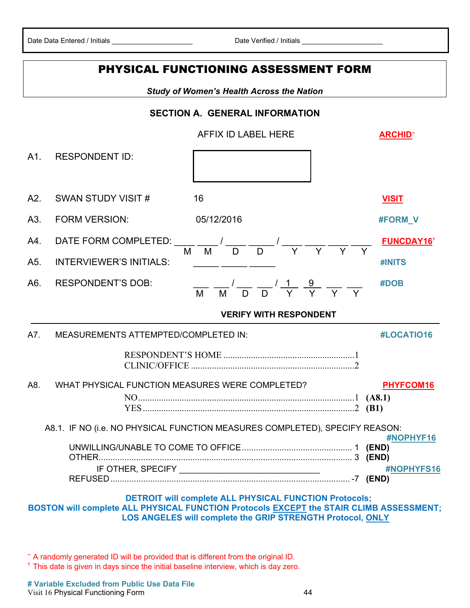### PHYSICAL FUNCTIONING ASSESSMENT FORM

*Study of Women's Health Across the Nation*



#### **DETROIT will complete ALL PHYSICAL FUNCTION Protocols; BOSTON will complete ALL PHYSICAL FUNCTION Protocols EXCEPT the STAIR CLIMB ASSESSMENT; LOS ANGELES will complete the GRIP STRENGTH Protocol, ONLY**

<sup>~</sup> A randomly generated ID will be provided that is different from the original ID.

**†** This date is given in days since the initial baseline interview, which is day zero.

**# Variable Excluded from Public Use Data File** Visit 16 Physical Functioning Form 44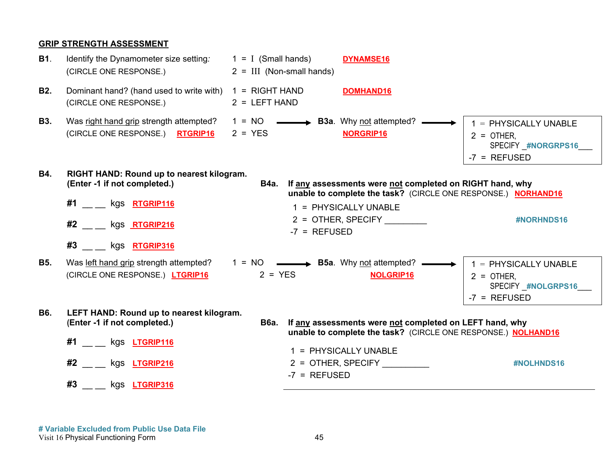### **GRIP STRENGTH ASSESSMENT**

| <b>B1.</b> | Identify the Dynamometer size setting:<br>(CIRCLE ONE RESPONSE.)                           | $1 = I$ (Small hands)<br>$2 = III$ (Non-small hands) | DYNAMSE16                                                                                                                                               |                                                                                  |
|------------|--------------------------------------------------------------------------------------------|------------------------------------------------------|---------------------------------------------------------------------------------------------------------------------------------------------------------|----------------------------------------------------------------------------------|
| <b>B2.</b> | Dominant hand? (hand used to write with) $1 = \text{RIGHT HAND}$<br>(CIRCLE ONE RESPONSE.) | $2 = LEFT$ HAND                                      | <b>DOMHAND16</b>                                                                                                                                        |                                                                                  |
| <b>B3.</b> | Was right hand grip strength attempted?<br>(CIRCLE ONE RESPONSE.) RTGRIP16                 | $2 = YES$                                            | $1 = NO \longrightarrow$ B3a. Why not attempted? $\longrightarrow$<br>NORGRIP16                                                                         | $1 =$ PHYSICALLY UNABLE<br>$2 = 0$ THER.<br>SPECIFY #NORGRPS16<br>$-7$ = REFUSED |
| <b>B4.</b> | RIGHT HAND: Round up to nearest kilogram.<br>(Enter -1 if not completed.)                  |                                                      | B4a. If any assessments were not completed on RIGHT hand, why<br>unable to complete the task? (CIRCLE ONE RESPONSE.) NORHAND16                          |                                                                                  |
|            |                                                                                            |                                                      | 1 = PHYSICALLY UNABLE                                                                                                                                   |                                                                                  |
|            | #2 _______ kgs __ <del>RTGRIP216</del>                                                     |                                                      | $2 =$ OTHER, SPECIFY $\_\_\_\_\_\_\_\_\_\_\_\_\_\_\_\_\_\_\_\_\_\_\_\_\_\_\_\_\_\_\_$<br>$-7$ = REFUSED                                                 | <b>#NORHNDS16</b>                                                                |
|            | #3 _______ kgs <u>RTGRIP316</u>                                                            |                                                      |                                                                                                                                                         |                                                                                  |
| <b>B5.</b> | (CIRCLE ONE RESPONSE.) LTGRIP16                                                            | $2 = YES$                                            | Was left hand grip strength attempted? $1 = NO$ $\longrightarrow$ B5a. Why not attempted? $\longrightarrow$   1 = PHYSICALLY UNABLE<br><b>NOLGRIP16</b> | $2 = 0$ THER,<br>SPECIFY #NOLGRPS16<br>$-7$ = REFUSED                            |
| <b>B6.</b> | LEFT HAND: Round up to nearest kilogram.                                                   |                                                      |                                                                                                                                                         |                                                                                  |
|            | (Enter -1 if not completed.)                                                               | <b>В6а.</b>                                          | If any assessments were not completed on LEFT hand, why<br>unable to complete the task? (CIRCLE ONE RESPONSE.) NOLHAND16                                |                                                                                  |
|            | #1 __ kgs LTGRIP116                                                                        |                                                      | 1 = PHYSICALLY UNABLE                                                                                                                                   |                                                                                  |
|            |                                                                                            |                                                      | 2 = OTHER, SPECIFY                                                                                                                                      | <b>#NOLHNDS16</b>                                                                |
|            |                                                                                            |                                                      | $-7$ = REFUSED                                                                                                                                          |                                                                                  |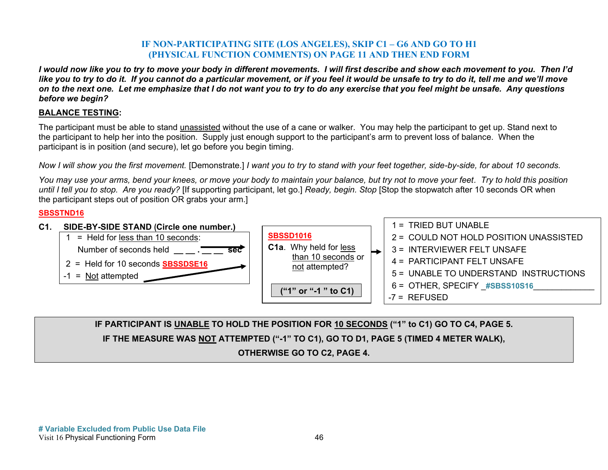### **IF NON-PARTICIPATING SITE (LOS ANGELES), SKIP C1 – G6 AND GO TO H1 (PHYSICAL FUNCTION COMMENTS) ON PAGE 11 AND THEN END FORM**

I would now like you to try to move your body in different movements. I will first describe and show each movement to you. Then I'd *like you to try to do it. If you cannot do a particular movement, or if you feel it would be unsafe to try to do it, tell me and we'll move on to the next one. Let me emphasize that I do not want you to try to do any exercise that you feel might be unsafe. Any questions before we begin?*

#### **BALANCE TESTING:**

The participant must be able to stand unassisted without the use of a cane or walker. You may help the participant to get up. Stand next to the participant to help her into the position. Supply just enough support to the participant's arm to prevent loss of balance. When the participant is in position (and secure), let go before you begin timing.

*Now I will show you the first movement.* [Demonstrate.] *I want you to try to stand with your feet together, side-by-side, for about 10 seconds.*

*You may use your arms, bend your knees, or move your body to maintain your balance, but try not to move your feet. Try to hold this position until I tell you to stop. Are you ready?* [If supporting participant, let go.] *Ready, begin. Stop* [Stop the stopwatch after 10 seconds OR when the participant steps out of position OR grabs your arm.]

#### **SBSSTND16**



**IF PARTICIPANT IS UNABLE TO HOLD THE POSITION FOR 10 SECONDS ("1" to C1) GO TO C4, PAGE 5. IF THE MEASURE WAS NOT ATTEMPTED ("-1" TO C1), GO TO D1, PAGE 5 (TIMED 4 METER WALK), OTHERWISE GO TO C2, PAGE 4.**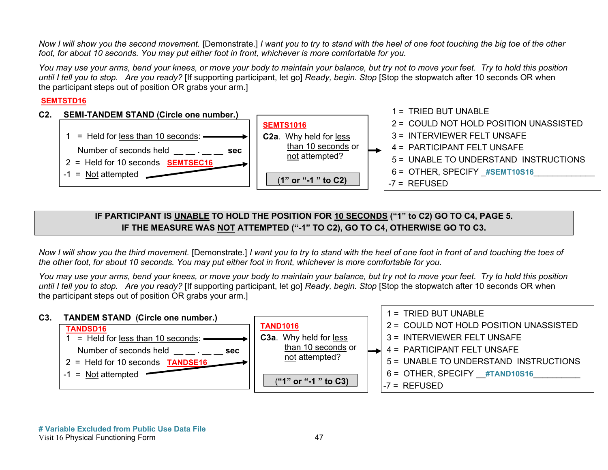*Now I will show you the second movement.* [Demonstrate.] *I want you to try to stand with the heel of one foot touching the big toe of the other foot, for about 10 seconds. You may put either foot in front, whichever is more comfortable for you.*

*You may use your arms, bend your knees, or move your body to maintain your balance, but try not to move your feet. Try to hold this position until I tell you to stop. Are you ready?* [If supporting participant, let go] *Ready, begin. Stop* [Stop the stopwatch after 10 seconds OR when the participant steps out of position OR grabs your arm.]

#### **SEMTSTD16**



### **IF PARTICIPANT IS UNABLE TO HOLD THE POSITION FOR 10 SECONDS ("1" to C2) GO TO C4, PAGE 5. IF THE MEASURE WAS NOT ATTEMPTED ("-1" TO C2), GO TO C4, OTHERWISE GO TO C3.**

*Now I will show you the third movement.* [Demonstrate.] *I want you to try to stand with the heel of one foot in front of and touching the toes of the other foot, for about 10 seconds. You may put either foot in front, whichever is more comfortable for you.*

*You may use your arms, bend your knees, or move your body to maintain your balance, but try not to move your feet. Try to hold this position until I tell you to stop. Are you ready?* [If supporting participant, let go] *Ready, begin. Stop* [Stop the stopwatch after 10 seconds OR when the participant steps out of position OR grabs your arm.]

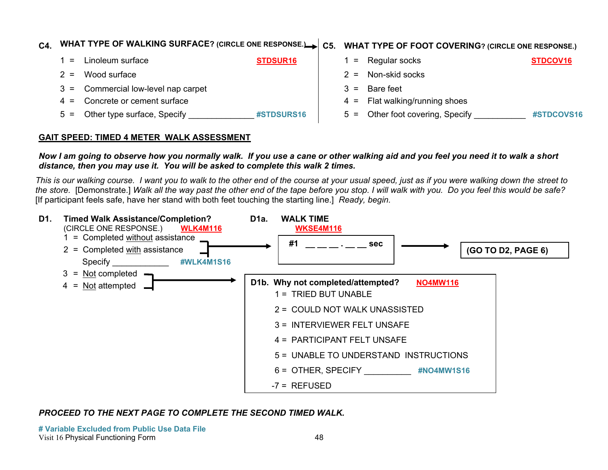| C4 | WHAT TYPE OF WALKING SURFACE? (CIRCLE ONE RESPONSE. |                   | C5. WHAT TYPE OF FOOT COVERING? (CIRCLE ONE RESPONSE.) |                                    |            |  |  |
|----|-----------------------------------------------------|-------------------|--------------------------------------------------------|------------------------------------|------------|--|--|
|    | = Linoleum surface                                  | <b>STDSUR16</b>   |                                                        | = Regular socks                    | STDCOV16   |  |  |
|    | $2 =$ Wood surface                                  |                   |                                                        | $2 =$ Non-skid socks               |            |  |  |
|    | $3 =$ Commercial low-level nap carpet               |                   |                                                        | $3 =$ Bare feet                    |            |  |  |
|    | $4 =$ Concrete or cement surface                    |                   |                                                        | $4 =$ Flat walking/running shoes   |            |  |  |
|    | $5 =$ Other type surface, Specify                   | <b>#STDSURS16</b> |                                                        | $5 =$ Other foot covering, Specify | #STDCOVS16 |  |  |

#### **GAIT SPEED: TIMED 4 METER WALK ASSESSMENT**

#### *Now I am going to observe how you normally walk. If you use a cane or other walking aid and you feel you need it to walk a short distance, then you may use it. You will be asked to complete this walk 2 times.*

*This is our walking course. I want you to walk to the other end of the course at your usual speed, just as if you were walking down the street to the store.* [Demonstrate.] *Walk all the way past the other end of the tape before you stop. I will walk with you. Do you feel this would be safe?*  [If participant feels safe, have her stand with both feet touching the starting line.] *Ready, begin.*



#### *PROCEED TO THE NEXT PAGE TO COMPLETE THE SECOND TIMED WALK.*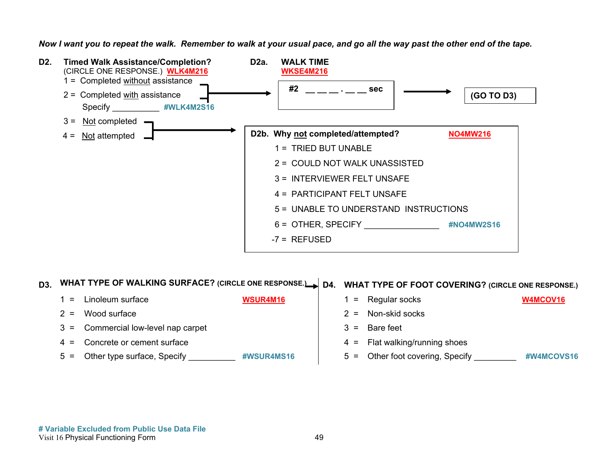*Now I want you to repeat the walk. Remember to walk at your usual pace, and go all the way past the other end of the tape.*



## **D3. WHAT TYPE OF WALKING SURFACE? (CIRCLE ONE RESPONSE.) D4. WHAT TYPE OF FOOT COVERING? (CIRCLE ONE RESPONSE.)**

| $=$   | Linoleum surface                      | WSUR4M16   | $1 =$ Regular socks                | W4MCOV16   |
|-------|---------------------------------------|------------|------------------------------------|------------|
| $2 =$ | Wood surface                          |            | $2 =$ Non-skid socks               |            |
|       | $3 =$ Commercial low-level nap carpet |            | $3 =$ Bare feet                    |            |
|       | $4 =$ Concrete or cement surface      |            | $4 =$ Flat walking/running shoes   |            |
|       | $5 =$ Other type surface, Specify     | #WSUR4MS16 | $5 =$ Other foot covering, Specify | #W4MCOVS16 |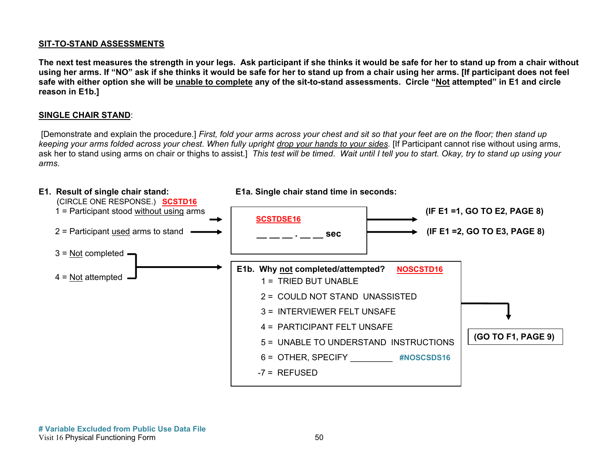#### **SIT-TO-STAND ASSESSMENTS**

**The next test measures the strength in your legs. Ask participant if she thinks it would be safe for her to stand up from a chair without using her arms. If "NO" ask if she thinks it would be safe for her to stand up from a chair using her arms. [If participant does not feel safe with either option she will be unable to complete any of the sit-to-stand assessments. Circle "Not attempted" in E1 and circle reason in E1b.]** 

#### **SINGLE CHAIR STAND**:

[Demonstrate and explain the procedure.] *First, fold your arms across your chest and sit so that your feet are on the floor; then stand up*  keeping your arms folded across your chest. When fully upright drop your hands to your sides. [If Participant cannot rise without using arms, ask her to stand using arms on chair or thighs to assist.] *This test will be timed*. *Wait until I tell you to start. Okay, try to stand up using your arms*.

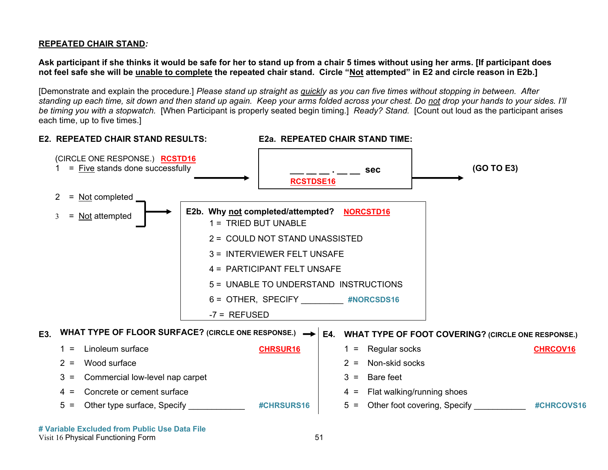#### **REPEATED CHAIR STAND***:*

#### **Ask participant if she thinks it would be safe for her to stand up from a chair 5 times without using her arms. [If participant does not feel safe she will be unable to complete the repeated chair stand. Circle "Not attempted" in E2 and circle reason in E2b.]**

[Demonstrate and explain the procedure.] *Please stand up straight as quickly as you can five times without stopping in between. After standing up each time, sit down and then stand up again. Keep your arms folded across your chest. Do not drop your hands to your sides. I'll be timing you with a stopwatch.* [When Participant is properly seated begin timing.] *Ready? Stand.* [Count out loud as the participant arises each time, up to five times.]



#### **# Variable Excluded from Public Use Data File** Visit 16 Physical Functioning Form 51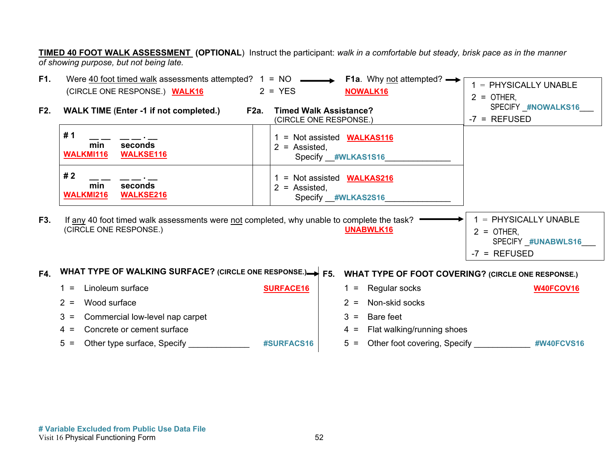**TIMED 40 FOOT WALK ASSESSMENT (OPTIONAL**) Instruct the participant: *walk in a comfortable but steady, brisk pace as in the manner of showing purpose, but not being late.*

| F1. |                                                                                            |                  |                                                           |                         |
|-----|--------------------------------------------------------------------------------------------|------------------|-----------------------------------------------------------|-------------------------|
|     | (CIRCLE ONE RESPONSE.) WALK16                                                              | $2 = YES$        | NOWALK16                                                  | $1 =$ PHYSICALLY UNABLE |
|     |                                                                                            |                  |                                                           | $2 = 0$ THER,           |
| F2. | <b>WALK TIME (Enter -1 if not completed.)</b><br><b>F2a.</b>                               |                  | <b>Timed Walk Assistance?</b>                             | SPECIFY #NOWALKS16      |
|     |                                                                                            |                  | (CIRCLE ONE RESPONSE.)                                    | $-7$ = REFUSED          |
|     | #1                                                                                         |                  | = Not assisted <b>WALKAS116</b>                           |                         |
|     | seconds<br>min                                                                             | $2 =$ Assisted,  |                                                           |                         |
|     | WALKMI116<br><b>WALKSE116</b>                                                              |                  | Specify #WLKAS1S16                                        |                         |
|     | #2                                                                                         |                  | = Not assisted <b>WALKAS216</b>                           |                         |
|     | seconds<br>min                                                                             | $2 =$ Assisted,  |                                                           |                         |
|     | <b>WALKMI216</b><br><b>WALKSE216</b>                                                       |                  | Specify #WLKAS2S16                                        |                         |
|     |                                                                                            |                  |                                                           |                         |
| F3. | If any 40 foot timed walk assessments were not completed, why unable to complete the task? |                  |                                                           | $=$ PHYSICALLY UNABLE   |
|     | (CIRCLE ONE RESPONSE.)                                                                     |                  | <b>UNABWLK16</b>                                          | $2 = OTHER$             |
|     |                                                                                            |                  |                                                           | SPECIFY #UNABWLS16      |
|     |                                                                                            |                  |                                                           | $-7$ = REFUSED          |
| F4. | WHAT TYPE OF WALKING SURFACE? (CIRCLE ONE RESPONSE.) F5.                                   |                  | <b>WHAT TYPE OF FOOT COVERING? (CIRCLE ONE RESPONSE.)</b> |                         |
|     | Linoleum surface<br>$\equiv$                                                               | <b>SURFACE16</b> | Regular socks<br>$1 =$                                    | W40FCOV16               |
|     | Wood surface<br>$2 =$                                                                      |                  | Non-skid socks<br>$2 =$                                   |                         |
|     | $3 =$<br>Commercial low-level nap carpet                                                   |                  | Bare feet<br>$3 =$                                        |                         |
|     | Concrete or cement surface<br>$4 =$                                                        |                  | $4 =$ Flat walking/running shoes                          |                         |

- 5 = Other type surface, Specify \_\_\_\_\_\_\_\_\_\_\_\_\_\_ #SURFACS16
- 4 = Flat waiking/running shoes<br>5 = Other foot covering, Specify \_\_\_\_\_\_\_\_\_\_\_\_ #W40FCVS16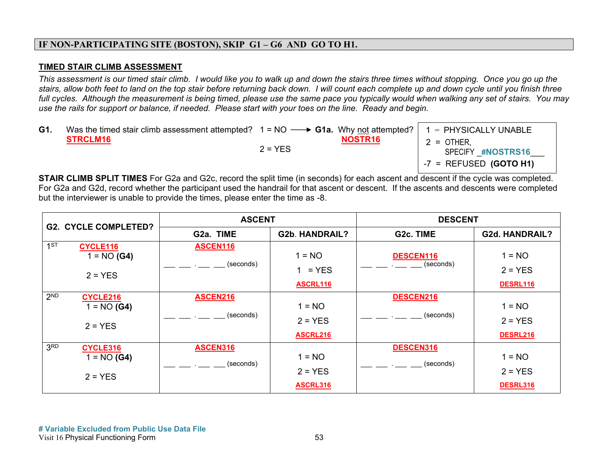#### **IF NON-PARTICIPATING SITE (BOSTON), SKIP G1 – G6 AND GO TO H1.**

#### **TIMED STAIR CLIMB ASSESSMENT**

*This assessment is our timed stair climb. I would like you to walk up and down the stairs three times without stopping. Once you go up the stairs, allow both feet to land on the top stair before returning back down. I will count each complete up and down cycle until you finish three full cycles. Although the measurement is being timed, please use the same pace you typically would when walking any set of stairs. You may use the rails for support or balance, if needed. Please start with your toes on the line. Ready and begin.*

| G1. | Was the timed stair climb assessment attempted? $1 = NO \longrightarrow$ G1a. Why not attempted? $\mid 1 = PHYSICALLY UNABLE$ |           |                   |
|-----|-------------------------------------------------------------------------------------------------------------------------------|-----------|-------------------|
|     | STRCLM <sub>16</sub>                                                                                                          |           | $2 = 0$ THER.     |
|     |                                                                                                                               | $2 = YFS$ | SPECIFY #NOSTRS16 |

**STAIR CLIMB SPLIT TIMES** For G2a and G2c, record the split time (in seconds) for each ascent and descent if the cycle was completed. For G2a and G2d, record whether the participant used the handrail for that ascent or descent. If the ascents and descents were completed but the interviewer is unable to provide the times, please enter the time as -8.

-7 = REFUSED **(GOTO H1)**

|                 | <b>ASCENT</b><br><b>G2. CYCLE COMPLETED?</b> |                       |                              | <b>DESCENT</b>                |                              |  |  |
|-----------------|----------------------------------------------|-----------------------|------------------------------|-------------------------------|------------------------------|--|--|
|                 |                                              | G2a. TIME             | <b>G2b. HANDRAIL?</b>        | G <sub>2c</sub> . TIME        | <b>G2d. HANDRAIL?</b>        |  |  |
| 1 <sup>ST</sup> | CYCLE116<br>$1 = NO(G4)$                     | ASCEN116<br>(seconds) | $1 = NO$                     | <b>DESCEN116</b><br>(seconds) | $= NO$                       |  |  |
|                 | $2 = YES$                                    |                       | $=$ YES<br>1.<br>ASCRL116    |                               | $2 = YES$<br><b>DESRL116</b> |  |  |
| 2 <sub>ND</sub> | CYCLE216<br>$= NO(G4)$                       | ASCEN216<br>(seconds) | $1 = NO$                     | <b>DESCEN216</b><br>(seconds) | $= NO$                       |  |  |
|                 | $2 = YES$                                    |                       | $2 = YES$<br><b>ASCRL216</b> |                               | $2 = YES$<br><b>DESRL216</b> |  |  |
| 3 <sub>RD</sub> | CYCLE316<br>$= NO(G4)$                       | ASCEN316<br>(seconds) | $1 = NO$                     | <b>DESCEN316</b><br>(seconds) | $= NO$                       |  |  |
|                 | $2 = YES$                                    |                       | $2 = YES$<br>ASCRL316        |                               | $2 = YES$<br>DESRL316        |  |  |